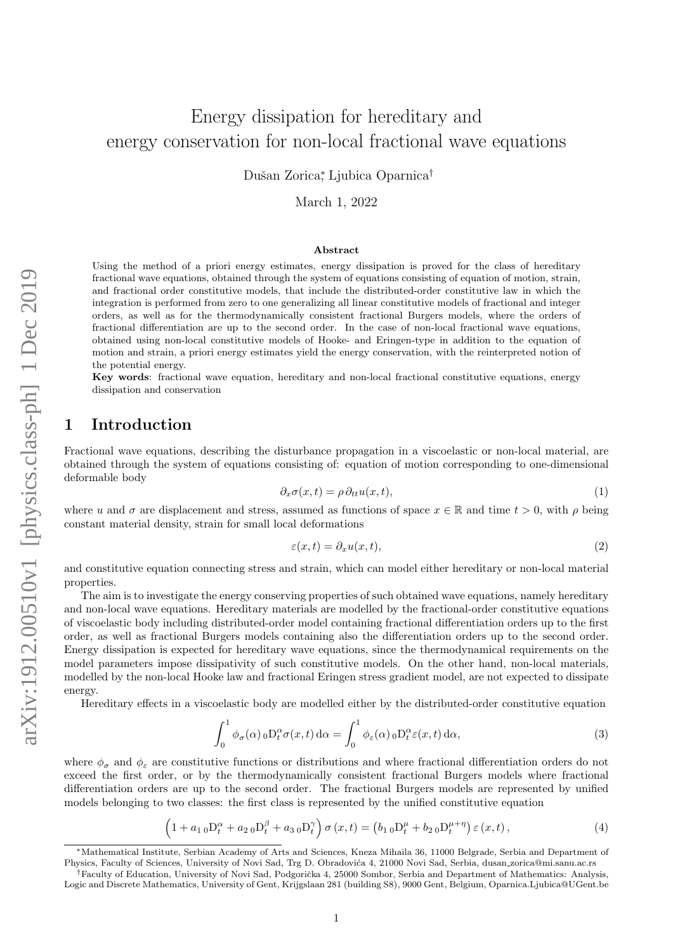# Energy dissipation for hereditary and energy conservation for non-local fractional wave equations

Dušan Zorica<sup>\*</sup>, Ljubica Oparnica<sup>†</sup>

March 1, 2022

#### Abstract

Using the method of a priori energy estimates, energy dissipation is proved for the class of hereditary fractional wave equations, obtained through the system of equations consisting of equation of motion, strain, and fractional order constitutive models, that include the distributed-order constitutive law in which the integration is performed from zero to one generalizing all linear constitutive models of fractional and integer orders, as well as for the thermodynamically consistent fractional Burgers models, where the orders of fractional differentiation are up to the second order. In the case of non-local fractional wave equations, obtained using non-local constitutive models of Hooke- and Eringen-type in addition to the equation of motion and strain, a priori energy estimates yield the energy conservation, with the reinterpreted notion of the potential energy.

Key words: fractional wave equation, hereditary and non-local fractional constitutive equations, energy dissipation and conservation

## 1 Introduction

Fractional wave equations, describing the disturbance propagation in a viscoelastic or non-local material, are obtained through the system of equations consisting of: equation of motion corresponding to one-dimensional deformable body

<span id="page-0-2"></span>
$$
\partial_x \sigma(x, t) = \rho \, \partial_{tt} u(x, t), \tag{1}
$$

where u and  $\sigma$  are displacement and stress, assumed as functions of space  $x \in \mathbb{R}$  and time  $t > 0$ , with  $\rho$  being constant material density, strain for small local deformations

<span id="page-0-3"></span>
$$
\varepsilon(x,t) = \partial_x u(x,t),\tag{2}
$$

and constitutive equation connecting stress and strain, which can model either hereditary or non-local material properties.

The aim is to investigate the energy conserving properties of such obtained wave equations, namely hereditary and non-local wave equations. Hereditary materials are modelled by the fractional-order constitutive equations of viscoelastic body including distributed-order model containing fractional differentiation orders up to the first order, as well as fractional Burgers models containing also the differentiation orders up to the second order. Energy dissipation is expected for hereditary wave equations, since the thermodynamical requirements on the model parameters impose dissipativity of such constitutive models. On the other hand, non-local materials, modelled by the non-local Hooke law and fractional Eringen stress gradient model, are not expected to dissipate energy.

Hereditary effects in a viscoelastic body are modelled either by the distributed-order constitutive equation

<span id="page-0-0"></span>
$$
\int_0^1 \phi_\sigma(\alpha) \, {}_0D_t^\alpha \sigma(x,t) \, \mathrm{d}\alpha = \int_0^1 \phi_\varepsilon(\alpha) \, {}_0D_t^\alpha \varepsilon(x,t) \, \mathrm{d}\alpha,\tag{3}
$$

where  $\phi_{\sigma}$  and  $\phi_{\varepsilon}$  are constitutive functions or distributions and where fractional differentiation orders do not exceed the first order, or by the thermodynamically consistent fractional Burgers models where fractional differentiation orders are up to the second order. The fractional Burgers models are represented by unified models belonging to two classes: the first class is represented by the unified constitutive equation

<span id="page-0-1"></span>
$$
(1 + a_{1\,0}D_t^{\alpha} + a_{2\,0}D_t^{\beta} + a_{3\,0}D_t^{\gamma})\,\sigma(x,t) = (b_{1\,0}D_t^{\mu} + b_{2\,0}D_t^{\mu+\eta})\,\varepsilon(x,t)\,,\tag{4}
$$

<sup>∗</sup>Mathematical Institute, Serbian Academy of Arts and Sciences, Kneza Mihaila 36, 11000 Belgrade, Serbia and Department of Physics, Faculty of Sciences, University of Novi Sad, Trg D. Obradovića 4, 21000 Novi Sad, Serbia, dusan zorica@mi.sanu.ac.rs

<sup>&</sup>lt;sup>†</sup>Faculty of Education, University of Novi Sad, Podgorička 4, 25000 Sombor, Serbia and Department of Mathematics: Analysis. Logic and Discrete Mathematics, University of Gent, Krijgslaan 281 (building S8), 9000 Gent, Belgium, Oparnica.Ljubica@UGent.be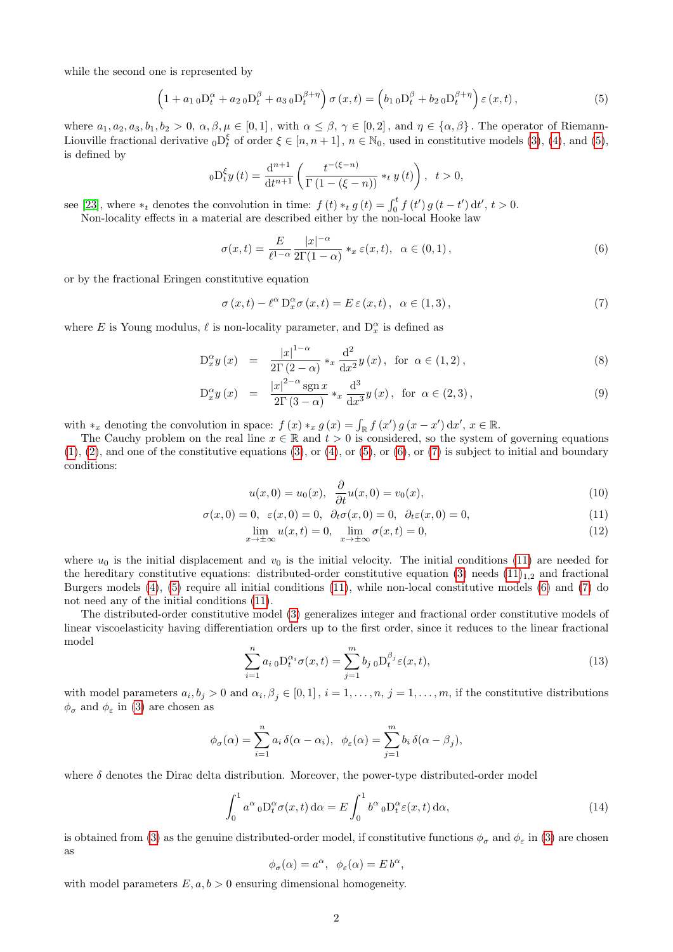while the second one is represented by

<span id="page-1-0"></span>
$$
\left(1 + a_{1\,0}D_t^{\alpha} + a_{2\,0}D_t^{\beta} + a_{3\,0}D_t^{\beta+\eta}\right)\sigma(x,t) = \left(b_{1\,0}D_t^{\beta} + b_{2\,0}D_t^{\beta+\eta}\right)\varepsilon(x,t),\tag{5}
$$

where  $a_1, a_2, a_3, b_1, b_2 > 0$ ,  $\alpha, \beta, \mu \in [0, 1]$ , with  $\alpha \leq \beta, \gamma \in [0, 2]$ , and  $\eta \in \{\alpha, \beta\}$ . The operator of Riemann-Liouville fractional derivative  ${}_0\mathcal{D}_t^{\xi}$  of order  $\xi \in [n, n+1]$ ,  $n \in \mathbb{N}_0$ , used in constitutive models [\(3\)](#page-0-0), [\(4\)](#page-0-1), and [\(5\)](#page-1-0), is defined by

$$
{}_0D_t^{\xi}y(t) = \frac{d^{n+1}}{dt^{n+1}} \left( \frac{t^{-(\xi-n)}}{\Gamma(1-(\xi-n))} *_{t} y(t) \right), \ \ t > 0,
$$

see [\[23\]](#page-19-0), where \*<sub>t</sub> denotes the convolution in time:  $f(t) *_{t} g(t) = \int_{0}^{t} f(t') g(t-t') dt', t > 0$ .

Non-locality effects in a material are described either by the non-local Hooke law

<span id="page-1-1"></span>
$$
\sigma(x,t) = \frac{E}{\ell^{1-\alpha}} \frac{|x|^{-\alpha}}{2\Gamma(1-\alpha)} \ast_x \varepsilon(x,t), \ \alpha \in (0,1), \tag{6}
$$

or by the fractional Eringen constitutive equation

<span id="page-1-2"></span>
$$
\sigma(x,t) - \ell^{\alpha} D_x^{\alpha} \sigma(x,t) = E \varepsilon(x,t), \ \alpha \in (1,3), \tag{7}
$$

where E is Young modulus,  $\ell$  is non-locality parameter, and  $D_x^{\alpha}$  is defined as

<span id="page-1-8"></span>
$$
D_x^{\alpha} y(x) = \frac{|x|^{1-\alpha}}{2\Gamma(2-\alpha)} *_{x} \frac{d^{2}}{dx^{2}} y(x), \text{ for } \alpha \in (1,2),
$$
\n(8)

$$
D_x^{\alpha} y(x) = \frac{|x|^{2-\alpha} \operatorname{sgn} x}{2\Gamma(3-\alpha)} *_{x} \frac{d^3}{dx^3} y(x), \text{ for } \alpha \in (2,3), \tag{9}
$$

with  $*_x$  denoting the convolution in space:  $f(x) *_{x} g(x) = \int_{\mathbb{R}} f(x') g(x - x') dx'$ ,  $x \in \mathbb{R}$ .

The Cauchy problem on the real line  $x \in \mathbb{R}$  and  $t > 0$  is considered, so the system of governing equations  $(1), (2),$  $(1), (2),$  $(1), (2),$  $(1), (2),$  and one of the constitutive equations  $(3),$  or  $(4),$  or  $(5),$  or  $(6),$  or  $(7)$  is subject to initial and boundary conditions:

<span id="page-1-7"></span><span id="page-1-6"></span><span id="page-1-3"></span>
$$
u(x,0) = u_0(x), \quad \frac{\partial}{\partial t}u(x,0) = v_0(x), \tag{10}
$$

$$
\sigma(x,0) = 0, \varepsilon(x,0) = 0, \partial_t \sigma(x,0) = 0, \partial_t \varepsilon(x,0) = 0,
$$
\n(11)

$$
\lim_{x \to \pm \infty} u(x, t) = 0, \quad \lim_{x \to \pm \infty} \sigma(x, t) = 0,\tag{12}
$$

where  $u_0$  is the initial displacement and  $v_0$  is the initial velocity. The initial conditions [\(11\)](#page-1-3) are needed for the hereditary constitutive equations: distributed-order constitutive equation [\(3\)](#page-0-0) needs  $(11)_{1,2}$  and fractional Burgers models [\(4\)](#page-0-1), [\(5\)](#page-1-0) require all initial conditions [\(11\)](#page-1-3), while non-local constitutive models [\(6\)](#page-1-1) and [\(7\)](#page-1-2) do not need any of the initial conditions [\(11\)](#page-1-3).

The distributed-order constitutive model [\(3\)](#page-0-0) generalizes integer and fractional order constitutive models of linear viscoelasticity having differentiation orders up to the first order, since it reduces to the linear fractional model

<span id="page-1-4"></span>
$$
\sum_{i=1}^{n} a_{i\,0} \mathcal{D}_{t}^{\alpha_{i}} \sigma(x,t) = \sum_{j=1}^{m} b_{j\,0} \mathcal{D}_{t}^{\beta_{j}} \varepsilon(x,t), \tag{13}
$$

with model parameters  $a_i, b_j > 0$  and  $\alpha_i, \beta_j \in [0, 1]$ ,  $i = 1, \ldots, n$ ,  $j = 1, \ldots, m$ , if the constitutive distributions  $\phi_{\sigma}$  and  $\phi_{\varepsilon}$  in [\(3\)](#page-0-0) are chosen as

$$
\phi_{\sigma}(\alpha) = \sum_{i=1}^{n} a_i \, \delta(\alpha - \alpha_i), \ \ \phi_{\varepsilon}(\alpha) = \sum_{j=1}^{m} b_i \, \delta(\alpha - \beta_j),
$$

where  $\delta$  denotes the Dirac delta distribution. Moreover, the power-type distributed-order model

<span id="page-1-5"></span>
$$
\int_0^1 a^{\alpha} \,_{0} D_t^{\alpha} \sigma(x, t) \, d\alpha = E \int_0^1 b^{\alpha} \,_{0} D_t^{\alpha} \varepsilon(x, t) \, d\alpha,\tag{14}
$$

is obtained from [\(3\)](#page-0-0) as the genuine distributed-order model, if constitutive functions  $\phi_{\sigma}$  and  $\phi_{\varepsilon}$  in (3) are chosen as

$$
\phi_{\sigma}(\alpha) = a^{\alpha}, \ \ \phi_{\varepsilon}(\alpha) = E b^{\alpha},
$$

with model parameters  $E, a, b > 0$  ensuring dimensional homogeneity.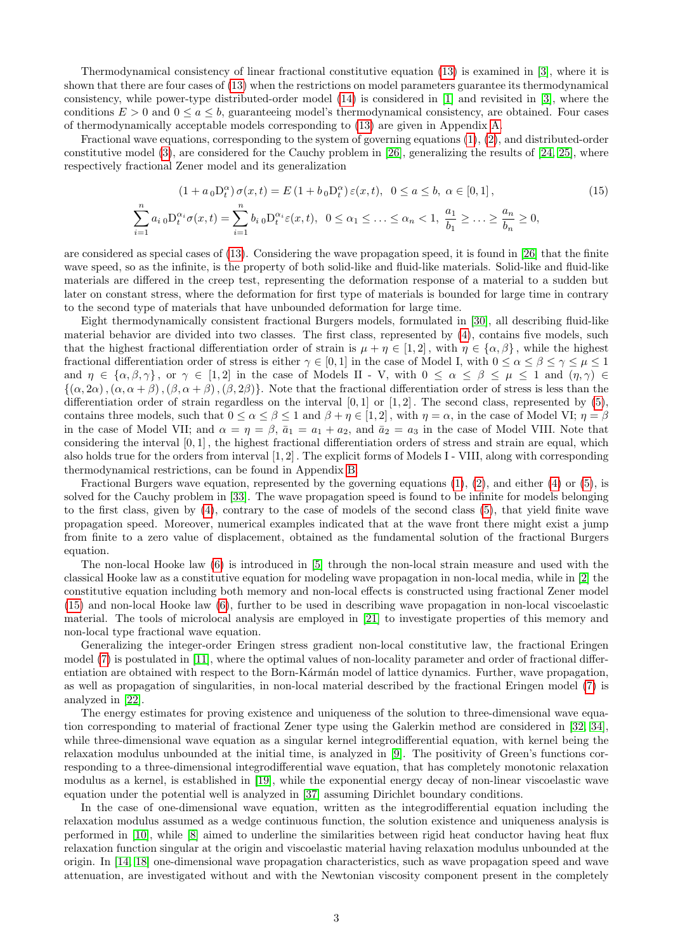Thermodynamical consistency of linear fractional constitutive equation [\(13\)](#page-1-4) is examined in [\[3\]](#page-18-0), where it is shown that there are four cases of [\(13\)](#page-1-4) when the restrictions on model parameters guarantee its thermodynamical consistency, while power-type distributed-order model [\(14\)](#page-1-5) is considered in [\[1\]](#page-18-1) and revisited in [\[3\]](#page-18-0), where the conditions  $E > 0$  and  $0 \le a \le b$ , guaranteeing model's thermodynamical consistency, are obtained. Four cases of thermodynamically acceptable models corresponding to [\(13\)](#page-1-4) are given in Appendix [A.](#page-13-0)

Fractional wave equations, corresponding to the system of governing equations [\(1\)](#page-0-2), [\(2\)](#page-0-3), and distributed-order constitutive model [\(3\)](#page-0-0), are considered for the Cauchy problem in [\[26\]](#page-19-1), generalizing the results of [\[24,](#page-19-2) [25\]](#page-19-3), where respectively fractional Zener model and its generalization

<span id="page-2-0"></span>
$$
(1 + a_0 \mathcal{D}_t^{\alpha}) \sigma(x, t) = E(1 + b_0 \mathcal{D}_t^{\alpha}) \varepsilon(x, t), \quad 0 \le a \le b, \quad \alpha \in [0, 1],
$$
  

$$
\sum_{i=1}^n a_i \, {}_0\mathcal{D}_t^{\alpha_i} \sigma(x, t) = \sum_{i=1}^n b_i \, {}_0\mathcal{D}_t^{\alpha_i} \varepsilon(x, t), \quad 0 \le \alpha_1 \le \dots \le \alpha_n < 1, \quad \frac{a_1}{b_1} \ge \dots \ge \frac{a_n}{b_n} \ge 0,
$$
\n
$$
(15)
$$

are considered as special cases of [\(13\)](#page-1-4). Considering the wave propagation speed, it is found in [\[26\]](#page-19-1) that the finite wave speed, so as the infinite, is the property of both solid-like and fluid-like materials. Solid-like and fluid-like materials are differed in the creep test, representing the deformation response of a material to a sudden but later on constant stress, where the deformation for first type of materials is bounded for large time in contrary to the second type of materials that have unbounded deformation for large time.

Eight thermodynamically consistent fractional Burgers models, formulated in [\[30\]](#page-19-4), all describing fluid-like material behavior are divided into two classes. The first class, represented by [\(4\)](#page-0-1), contains five models, such that the highest fractional differentiation order of strain is  $\mu + \eta \in [1,2]$ , with  $\eta \in {\alpha, \beta}$ , while the highest fractional differentiation order of stress is either  $\gamma \in [0,1]$  in the case of Model I, with  $0 \leq \alpha \leq \beta \leq \gamma \leq \mu \leq 1$ and  $\eta \in {\alpha, \beta, \gamma}$ , or  $\gamma \in [1, 2]$  in the case of Models II - V, with  $0 \leq \alpha \leq \beta \leq \mu \leq 1$  and  $(\eta, \gamma) \in$  $\{(\alpha, 2\alpha),(\alpha, \alpha+\beta),(\beta, \alpha+\beta),(\beta, 2\beta)\}\.$  Note that the fractional differentiation order of stress is less than the differentiation order of strain regardless on the interval  $[0,1]$  or  $[1,2]$ . The second class, represented by  $(5)$ , contains three models, such that  $0 \le \alpha \le \beta \le 1$  and  $\beta + \eta \in [1, 2]$ , with  $\eta = \alpha$ , in the case of Model VI;  $\eta = \beta$ in the case of Model VII; and  $\alpha = \eta = \beta$ ,  $\bar{a}_1 = a_1 + a_2$ , and  $\bar{a}_2 = a_3$  in the case of Model VIII. Note that considering the interval  $[0, 1]$ , the highest fractional differentiation orders of stress and strain are equal, which also holds true for the orders from interval [1, 2] . The explicit forms of Models I - VIII, along with corresponding thermodynamical restrictions, can be found in Appendix [B.](#page-14-0)

Fractional Burgers wave equation, represented by the governing equations  $(1)$ ,  $(2)$ , and either  $(4)$  or  $(5)$ , is solved for the Cauchy problem in [\[33\]](#page-19-5). The wave propagation speed is found to be infinite for models belonging to the first class, given by [\(4\)](#page-0-1), contrary to the case of models of the second class [\(5\)](#page-1-0), that yield finite wave propagation speed. Moreover, numerical examples indicated that at the wave front there might exist a jump from finite to a zero value of displacement, obtained as the fundamental solution of the fractional Burgers equation.

The non-local Hooke law [\(6\)](#page-1-1) is introduced in [\[5\]](#page-18-2) through the non-local strain measure and used with the classical Hooke law as a constitutive equation for modeling wave propagation in non-local media, while in [\[2\]](#page-18-3) the constitutive equation including both memory and non-local effects is constructed using fractional Zener model [\(15\)](#page-2-0) and non-local Hooke law [\(6\)](#page-1-1), further to be used in describing wave propagation in non-local viscoelastic material. The tools of microlocal analysis are employed in [\[21\]](#page-19-6) to investigate properties of this memory and non-local type fractional wave equation.

Generalizing the integer-order Eringen stress gradient non-local constitutive law, the fractional Eringen model [\(7\)](#page-1-2) is postulated in [\[11\]](#page-18-4), where the optimal values of non-locality parameter and order of fractional differentiation are obtained with respect to the Born-Kármán model of lattice dynamics. Further, wave propagation, as well as propagation of singularities, in non-local material described by the fractional Eringen model [\(7\)](#page-1-2) is analyzed in [\[22\]](#page-19-7).

The energy estimates for proving existence and uniqueness of the solution to three-dimensional wave equation corresponding to material of fractional Zener type using the Galerkin method are considered in [\[32,](#page-19-8) [34\]](#page-19-9), while three-dimensional wave equation as a singular kernel integrodifferential equation, with kernel being the relaxation modulus unbounded at the initial time, is analyzed in [\[9\]](#page-18-5). The positivity of Green's functions corresponding to a three-dimensional integrodifferential wave equation, that has completely monotonic relaxation modulus as a kernel, is established in [\[19\]](#page-19-10), while the exponential energy decay of non-linear viscoelastic wave equation under the potential well is analyzed in [\[37\]](#page-19-11) assuming Dirichlet boundary conditions.

In the case of one-dimensional wave equation, written as the integrodifferential equation including the relaxation modulus assumed as a wedge continuous function, the solution existence and uniqueness analysis is performed in [\[10\]](#page-18-6), while [\[8\]](#page-18-7) aimed to underline the similarities between rigid heat conductor having heat flux relaxation function singular at the origin and viscoelastic material having relaxation modulus unbounded at the origin. In [\[14,](#page-18-8) [18\]](#page-19-12) one-dimensional wave propagation characteristics, such as wave propagation speed and wave attenuation, are investigated without and with the Newtonian viscosity component present in the completely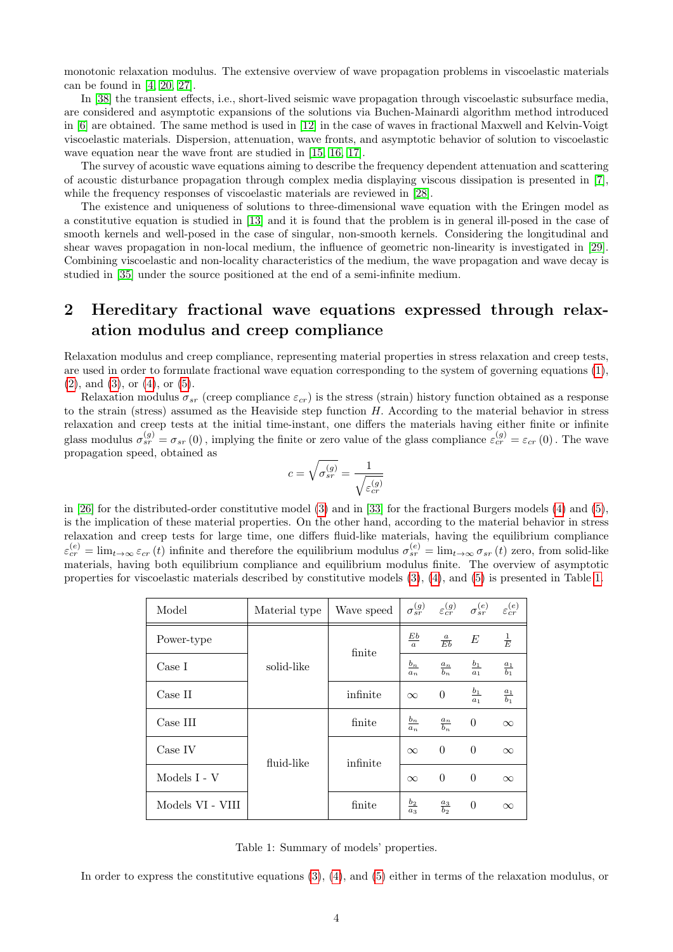monotonic relaxation modulus. The extensive overview of wave propagation problems in viscoelastic materials can be found in [\[4,](#page-18-9) [20,](#page-19-13) [27\]](#page-19-14).

In [\[38\]](#page-19-15) the transient effects, i.e., short-lived seismic wave propagation through viscoelastic subsurface media, are considered and asymptotic expansions of the solutions via Buchen-Mainardi algorithm method introduced in [\[6\]](#page-18-10) are obtained. The same method is used in [\[12\]](#page-18-11) in the case of waves in fractional Maxwell and Kelvin-Voigt viscoelastic materials. Dispersion, attenuation, wave fronts, and asymptotic behavior of solution to viscoelastic wave equation near the wave front are studied in [\[15,](#page-19-16) [16,](#page-19-17) [17\]](#page-19-18).

The survey of acoustic wave equations aiming to describe the frequency dependent attenuation and scattering of acoustic disturbance propagation through complex media displaying viscous dissipation is presented in [\[7\]](#page-18-12), while the frequency responses of viscoelastic materials are reviewed in [\[28\]](#page-19-19).

The existence and uniqueness of solutions to three-dimensional wave equation with the Eringen model as a constitutive equation is studied in [\[13\]](#page-18-13) and it is found that the problem is in general ill-posed in the case of smooth kernels and well-posed in the case of singular, non-smooth kernels. Considering the longitudinal and shear waves propagation in non-local medium, the influence of geometric non-linearity is investigated in [\[29\]](#page-19-20). Combining viscoelastic and non-locality characteristics of the medium, the wave propagation and wave decay is studied in [\[35\]](#page-19-21) under the source positioned at the end of a semi-infinite medium.

## 2 Hereditary fractional wave equations expressed through relaxation modulus and creep compliance

Relaxation modulus and creep compliance, representing material properties in stress relaxation and creep tests, are used in order to formulate fractional wave equation corresponding to the system of governing equations [\(1\)](#page-0-2),  $(2)$ , and  $(3)$ , or  $(4)$ , or  $(5)$ .

Relaxation modulus  $\sigma_{sr}$  (creep compliance  $\varepsilon_{cr}$ ) is the stress (strain) history function obtained as a response to the strain (stress) assumed as the Heaviside step function H. According to the material behavior in stress relaxation and creep tests at the initial time-instant, one differs the materials having either finite or infinite glass modulus  $\sigma_{sr}^{(g)} = \sigma_{sr}(0)$ , implying the finite or zero value of the glass compliance  $\varepsilon_{cr}^{(g)} = \varepsilon_{cr}(0)$ . The wave propagation speed, obtained as

$$
c = \sqrt{\sigma_{sr}^{(g)}} = \frac{1}{\sqrt{\varepsilon_{cr}^{(g)}}}
$$

in [\[26\]](#page-19-1) for the distributed-order constitutive model [\(3\)](#page-0-0) and in [\[33\]](#page-19-5) for the fractional Burgers models [\(4\)](#page-0-1) and [\(5\)](#page-1-0), is the implication of these material properties. On the other hand, according to the material behavior in stress relaxation and creep tests for large time, one differs fluid-like materials, having the equilibrium compliance  $\varepsilon_{cr}^{(e)} = \lim_{t\to\infty} \varepsilon_{cr}(t)$  infinite and therefore the equilibrium modulus  $\sigma_{sr}^{(e)} = \lim_{t\to\infty} \sigma_{sr}(t)$  zero, from solid-like materials, having both equilibrium compliance and equilibrium modulus finite. The overview of asymptotic properties for viscoelastic materials described by constitutive models [\(3\)](#page-0-0), [\(4\)](#page-0-1), and [\(5\)](#page-1-0) is presented in Table [1.](#page-3-0)

<span id="page-3-0"></span>

| Model            | Material type | Wave speed |                 | $\sigma_{sr}^{(g)}$ $\varepsilon_{cr}^{(g)}$ $\sigma_{sr}^{(e)}$ |                 | $\varepsilon_{cr}^{(e)}$ |
|------------------|---------------|------------|-----------------|------------------------------------------------------------------|-----------------|--------------------------|
| Power-type       | solid-like    | finite     | $rac{Eb}{a}$    | $\frac{a}{Eb}$                                                   | E               | $\frac{1}{E}$            |
| Case I           |               |            | $rac{b_n}{a_n}$ | $\frac{a_n}{b_n}$                                                | $rac{b_1}{a_1}$ | $\frac{a_1}{b_1}$        |
| Case II          |               | infinite   | $\infty$        | $\overline{0}$                                                   | $rac{b_1}{a_1}$ | $\frac{a_1}{b_1}$        |
| Case III         | fluid-like    | finite     | $rac{b_n}{a_n}$ | $\frac{a_n}{b_n}$                                                | $\theta$        | $\infty$                 |
| Case IV          |               | infinite   | $\infty$        | $\overline{0}$                                                   | $\theta$        | $\infty$                 |
| Models I - V     |               |            | $\infty$        | $\theta$                                                         | $\theta$        | $\infty$                 |
| Models VI - VIII |               | finite     | $rac{b_2}{a_3}$ | $rac{a_3}{b_2}$                                                  | $\theta$        | $\infty$                 |

Table 1: Summary of models' properties.

In order to express the constitutive equations [\(3\)](#page-0-0), [\(4\)](#page-0-1), and [\(5\)](#page-1-0) either in terms of the relaxation modulus, or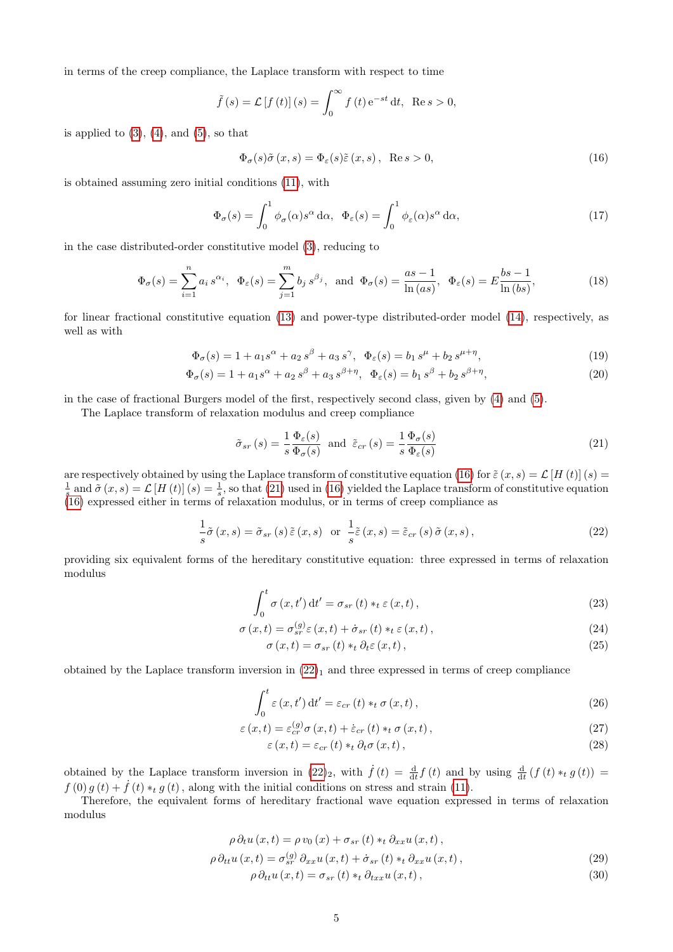in terms of the creep compliance, the Laplace transform with respect to time

$$
\tilde{f}(s) = \mathcal{L}[f(t)](s) = \int_0^\infty f(t) e^{-st} dt, \text{ Re } s > 0,
$$

is applied to  $(3)$ ,  $(4)$ , and  $(5)$ , so that

<span id="page-4-0"></span>
$$
\Phi_{\sigma}(s)\tilde{\sigma}(x,s) = \Phi_{\varepsilon}(s)\tilde{\varepsilon}(x,s), \quad \text{Re}\,s > 0,\tag{16}
$$

is obtained assuming zero initial conditions [\(11\)](#page-1-3), with

<span id="page-4-9"></span>
$$
\Phi_{\sigma}(s) = \int_0^1 \phi_{\sigma}(\alpha) s^{\alpha} d\alpha, \quad \Phi_{\varepsilon}(s) = \int_0^1 \phi_{\varepsilon}(\alpha) s^{\alpha} d\alpha,
$$
\n(17)

in the case distributed-order constitutive model [\(3\)](#page-0-0), reducing to

<span id="page-4-10"></span>
$$
\Phi_{\sigma}(s) = \sum_{i=1}^{n} a_i s^{\alpha_i}, \quad \Phi_{\varepsilon}(s) = \sum_{j=1}^{m} b_j s^{\beta_j}, \quad \text{and} \quad \Phi_{\sigma}(s) = \frac{as-1}{\ln(as)}, \quad \Phi_{\varepsilon}(s) = E \frac{bs-1}{\ln (bs)},\tag{18}
$$

for linear fractional constitutive equation [\(13\)](#page-1-4) and power-type distributed-order model [\(14\)](#page-1-5), respectively, as well as with

$$
\Phi_{\sigma}(s) = 1 + a_1 s^{\alpha} + a_2 s^{\beta} + a_3 s^{\gamma}, \ \ \Phi_{\varepsilon}(s) = b_1 s^{\mu} + b_2 s^{\mu + \eta}, \tag{19}
$$

$$
\Phi_{\sigma}(s) = 1 + a_1 s^{\alpha} + a_2 s^{\beta} + a_3 s^{\beta + \eta}, \ \ \Phi_{\varepsilon}(s) = b_1 s^{\beta} + b_2 s^{\beta + \eta}, \tag{20}
$$

in the case of fractional Burgers model of the first, respectively second class, given by [\(4\)](#page-0-1) and [\(5\)](#page-1-0).

The Laplace transform of relaxation modulus and creep compliance

<span id="page-4-1"></span>
$$
\tilde{\sigma}_{sr}(s) = \frac{1}{s} \frac{\Phi_{\varepsilon}(s)}{\Phi_{\sigma}(s)} \text{ and } \tilde{\varepsilon}_{cr}(s) = \frac{1}{s} \frac{\Phi_{\sigma}(s)}{\Phi_{\varepsilon}(s)}
$$
\n(21)

are respectively obtained by using the Laplace transform of constitutive equation [\(16\)](#page-4-0) for  $\tilde{\varepsilon} (x, s) = \mathcal{L}[H(t)] (s)$  $\frac{1}{s}$  and  $\tilde{\sigma}(x,s) = \mathcal{L}[H(t)](s) = \frac{1}{s}$ , so that [\(21\)](#page-4-1) used in [\(16\)](#page-4-0) yielded the Laplace transform of constitutive equation [\(16\)](#page-4-0) expressed either in terms of relaxation modulus, or in terms of creep compliance as

<span id="page-4-2"></span>
$$
\frac{1}{s}\tilde{\sigma}(x,s) = \tilde{\sigma}_{sr}(s)\tilde{\varepsilon}(x,s) \quad \text{or} \quad \frac{1}{s}\tilde{\varepsilon}(x,s) = \tilde{\varepsilon}_{cr}(s)\tilde{\sigma}(x,s),\tag{22}
$$

providing six equivalent forms of the hereditary constitutive equation: three expressed in terms of relaxation modulus

$$
\int_{0}^{t} \sigma(x, t') dt' = \sigma_{sr}(t) *_{t} \varepsilon(x, t),
$$
\n(23)

$$
\sigma(x,t) = \sigma_{sr}^{(g)}\varepsilon(x,t) + \dot{\sigma}_{sr}(t) *_{t} \varepsilon(x,t),
$$
\n(24)

<span id="page-4-5"></span><span id="page-4-4"></span><span id="page-4-3"></span>
$$
\sigma(x,t) = \sigma_{sr}(t) *_{t} \partial_{t} \varepsilon(x,t), \qquad (25)
$$

obtained by the Laplace transform inversion in  $(22)_1$  and three expressed in terms of creep compliance

<span id="page-4-6"></span>
$$
\int_0^t \varepsilon(x, t') dt' = \varepsilon_{cr}(t) *_{t} \sigma(x, t), \qquad (26)
$$

$$
\varepsilon(x,t) = \varepsilon_{cr}^{(g)}\sigma(x,t) + \dot{\varepsilon}_{cr}(t) *_{t}\sigma(x,t),
$$
\n(27)

<span id="page-4-8"></span><span id="page-4-7"></span>
$$
\varepsilon(x,t) = \varepsilon_{cr}(t) *_{t} \partial_{t} \sigma(x,t), \qquad (28)
$$

obtained by the Laplace transform inversion in  $(22)_2$ , with  $\dot{f}(t) = \frac{d}{dt} f(t)$  and by using  $\frac{d}{dt} (f(t) *_{t} g(t)) =$  $f(0) g(t) + \dot{f}(t) *_{t} g(t)$ , along with the initial conditions on stress and strain [\(11\)](#page-1-3).

Therefore, the equivalent forms of hereditary fractional wave equation expressed in terms of relaxation modulus

$$
\rho \partial_t u(x,t) = \rho v_0(x) + \sigma_{sr}(t) *_{t} \partial_{xx} u(x,t),
$$
  
\n
$$
\rho \partial_{tt} u(x,t) = \sigma_{sr}^{(g)} \partial_{xx} u(x,t) + \dot{\sigma}_{sr}(t) *_{t} \partial_{xx} u(x,t),
$$
\n(29)

<span id="page-4-12"></span><span id="page-4-11"></span>
$$
\rho \, \partial_{tt} u \left( x, t \right) = \sigma_{sr} \left( t \right) *_{t} \partial_{txx} u \left( x, t \right), \tag{30}
$$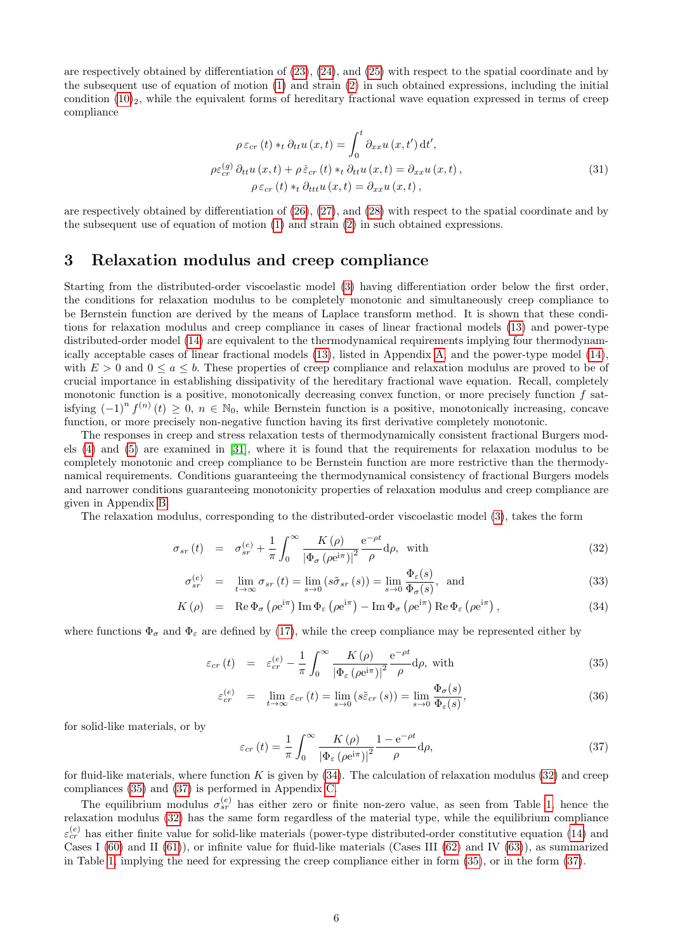are respectively obtained by differentiation of [\(23\)](#page-4-3), [\(24\)](#page-4-4), and [\(25\)](#page-4-5) with respect to the spatial coordinate and by the subsequent use of equation of motion [\(1\)](#page-0-2) and strain [\(2\)](#page-0-3) in such obtained expressions, including the initial condition  $(10)_2$ , while the equivalent forms of hereditary fractional wave equation expressed in terms of creep compliance

<span id="page-5-3"></span>
$$
\rho \varepsilon_{cr}(t) *_{t} \partial_{tt} u(x,t) = \int_{0}^{t} \partial_{xx} u(x,t') dt',
$$
  

$$
\rho \varepsilon_{cr}^{(g)} \partial_{tt} u(x,t) + \rho \dot{\varepsilon}_{cr}(t) *_{t} \partial_{tt} u(x,t) = \partial_{xx} u(x,t),
$$
  

$$
\rho \varepsilon_{cr}(t) *_{t} \partial_{ttt} u(x,t) = \partial_{xx} u(x,t),
$$
\n(31)

are respectively obtained by differentiation of [\(26\)](#page-4-6), [\(27\)](#page-4-7), and [\(28\)](#page-4-8) with respect to the spatial coordinate and by the subsequent use of equation of motion [\(1\)](#page-0-2) and strain [\(2\)](#page-0-3) in such obtained expressions.

### 3 Relaxation modulus and creep compliance

Starting from the distributed-order viscoelastic model [\(3\)](#page-0-0) having differentiation order below the first order, the conditions for relaxation modulus to be completely monotonic and simultaneously creep compliance to be Bernstein function are derived by the means of Laplace transform method. It is shown that these conditions for relaxation modulus and creep compliance in cases of linear fractional models [\(13\)](#page-1-4) and power-type distributed-order model [\(14\)](#page-1-5) are equivalent to the thermodynamical requirements implying four thermodynamically acceptable cases of linear fractional models [\(13\)](#page-1-4), listed in Appendix [A,](#page-13-0) and the power-type model [\(14\)](#page-1-5), with  $E > 0$  and  $0 \le a \le b$ . These properties of creep compliance and relaxation modulus are proved to be of crucial importance in establishing dissipativity of the hereditary fractional wave equation. Recall, completely monotonic function is a positive, monotonically decreasing convex function, or more precisely function f satisfying  $(-1)^n f^{(n)}(t) \geq 0, n \in \mathbb{N}_0$ , while Bernstein function is a positive, monotonically increasing, concave function, or more precisely non-negative function having its first derivative completely monotonic.

The responses in creep and stress relaxation tests of thermodynamically consistent fractional Burgers models [\(4\)](#page-0-1) and [\(5\)](#page-1-0) are examined in [\[31\]](#page-19-22), where it is found that the requirements for relaxation modulus to be completely monotonic and creep compliance to be Bernstein function are more restrictive than the thermodynamical requirements. Conditions guaranteeing the thermodynamical consistency of fractional Burgers models and narrower conditions guaranteeing monotonicity properties of relaxation modulus and creep compliance are given in Appendix [B.](#page-14-0)

The relaxation modulus, corresponding to the distributed-order viscoelastic model [\(3\)](#page-0-0), takes the form

<span id="page-5-0"></span>
$$
\sigma_{sr}(t) = \sigma_{sr}^{(e)} + \frac{1}{\pi} \int_0^\infty \frac{K(\rho)}{|\Phi_\sigma(\rho e^{i\pi})|^2} \frac{e^{-\rho t}}{\rho} d\rho, \text{ with}
$$
\n(32)

$$
\sigma_{sr}^{(e)} = \lim_{t \to \infty} \sigma_{sr}(t) = \lim_{s \to 0} (s\tilde{\sigma}_{sr}(s)) = \lim_{s \to 0} \frac{\Phi_{\varepsilon}(s)}{\Phi_{\sigma}(s)}, \text{ and}
$$
\n(33)

$$
K(\rho) = \text{Re}\,\Phi_{\sigma}\left(\rho e^{i\pi}\right)\text{Im}\,\Phi_{\varepsilon}\left(\rho e^{i\pi}\right) - \text{Im}\,\Phi_{\sigma}\left(\rho e^{i\pi}\right)\text{Re}\,\Phi_{\varepsilon}\left(\rho e^{i\pi}\right),\tag{34}
$$

where functions  $\Phi_{\sigma}$  and  $\Phi_{\varepsilon}$  are defined by [\(17\)](#page-4-9), while the creep compliance may be represented either by

<span id="page-5-1"></span>
$$
\varepsilon_{cr}(t) = \varepsilon_{cr}^{(e)} - \frac{1}{\pi} \int_0^\infty \frac{K(\rho)}{|\Phi_{\varepsilon}(\rho e^{i\pi})|^2} \frac{e^{-\rho t}}{\rho} d\rho, \text{ with}
$$
\n(35)

$$
\varepsilon_{cr}^{(e)} = \lim_{t \to \infty} \varepsilon_{cr}(t) = \lim_{s \to 0} \left( s \tilde{\varepsilon}_{cr}(s) \right) = \lim_{s \to 0} \frac{\Phi_{\sigma}(s)}{\Phi_{\varepsilon}(s)},\tag{36}
$$

for solid-like materials, or by

<span id="page-5-2"></span>
$$
\varepsilon_{cr}(t) = \frac{1}{\pi} \int_0^\infty \frac{K(\rho)}{\left|\Phi_\varepsilon\left(\rho e^{i\pi}\right)\right|^2} \frac{1 - e^{-\rho t}}{\rho} d\rho,\tag{37}
$$

for fluid-like materials, where function K is given by  $(34)$ . The calculation of relaxation modulus  $(32)$  and creep compliances [\(35\)](#page-5-1) and [\(37\)](#page-5-2) is performed in Appendix [C.](#page-15-0)

The equilibrium modulus  $\sigma_{sr}^{(e)}$  has either zero or finite non-zero value, as seen from Table [1,](#page-3-0) hence the relaxation modulus [\(32\)](#page-5-0) has the same form regardless of the material type, while the equilibrium compliance  $\varepsilon_{cr}^{(e)}$  has either finite value for solid-like materials (power-type distributed-order constitutive equation [\(14\)](#page-1-5) and Cases I  $(60)$  and II  $(61)$ , or infinite value for fluid-like materials (Cases III  $(62)$  and IV  $(63)$ ), as summarized in Table [1,](#page-3-0) implying the need for expressing the creep compliance either in form [\(35\)](#page-5-1), or in the form [\(37\)](#page-5-2).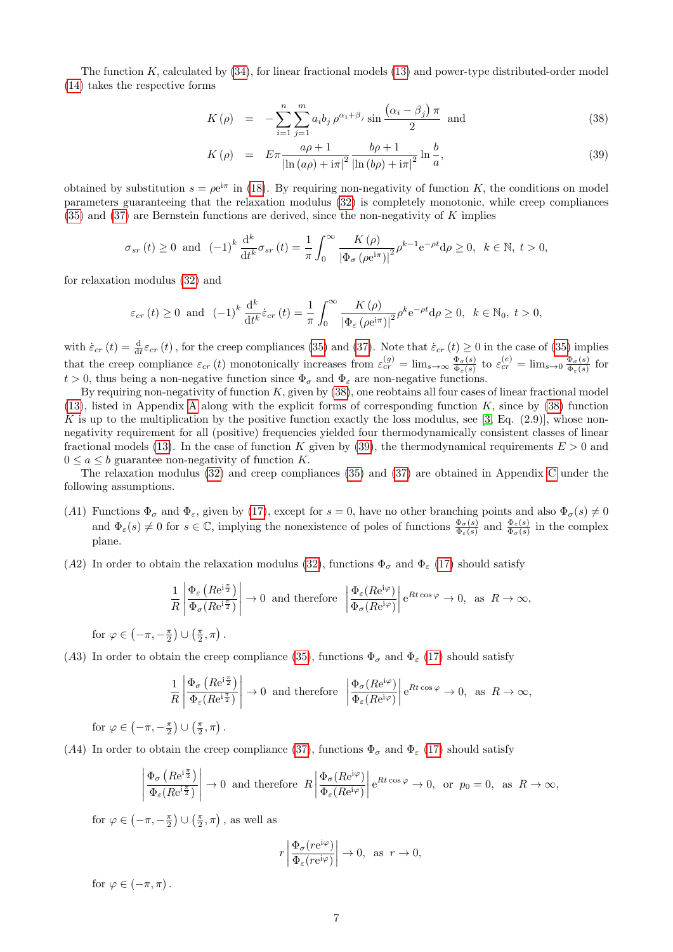The function K, calculated by [\(34\)](#page-5-0), for linear fractional models [\(13\)](#page-1-4) and power-type distributed-order model [\(14\)](#page-1-5) takes the respective forms

<span id="page-6-0"></span>
$$
K(\rho) = -\sum_{i=1}^{n} \sum_{j=1}^{m} a_i b_j \rho^{\alpha_i + \beta_j} \sin \frac{(\alpha_i - \beta_j) \pi}{2} \text{ and } (38)
$$

$$
K(\rho) = E\pi \frac{a\rho + 1}{\left|\ln\left(a\rho\right) + i\pi\right|^2} \frac{b\rho + 1}{\left|\ln\left(b\rho\right) + i\pi\right|^2} \ln\frac{b}{a},\tag{39}
$$

obtained by substitution  $s = \rho e^{i\pi}$  in [\(18\)](#page-4-10). By requiring non-negativity of function K, the conditions on model parameters guaranteeing that the relaxation modulus [\(32\)](#page-5-0) is completely monotonic, while creep compliances [\(35\)](#page-5-1) and [\(37\)](#page-5-2) are Bernstein functions are derived, since the non-negativity of K implies

$$
\sigma_{sr}(t) \ge 0 \text{ and } (-1)^k \frac{d^k}{dt^k} \sigma_{sr}(t) = \frac{1}{\pi} \int_0^\infty \frac{K(\rho)}{|\Phi_\sigma(\rho e^{i\pi})|^2} \rho^{k-1} e^{-\rho t} d\rho \ge 0, \quad k \in \mathbb{N}, t > 0,
$$

for relaxation modulus [\(32\)](#page-5-0) and

$$
\varepsilon_{cr}(t) \ge 0 \text{ and } (-1)^k \frac{d^k}{dt^k} \dot{\varepsilon}_{cr}(t) = \frac{1}{\pi} \int_0^\infty \frac{K(\rho)}{|\Phi_{\varepsilon}(\rho e^{i\pi})|^2} \rho^k e^{-\rho t} d\rho \ge 0, \quad k \in \mathbb{N}_0, \ t > 0,
$$

with  $\dot{\varepsilon}_{cr}(t) = \frac{d}{dt} \varepsilon_{cr}(t)$ , for the creep compliances [\(35\)](#page-5-1) and [\(37\)](#page-5-2). Note that  $\dot{\varepsilon}_{cr}(t) \ge 0$  in the case of (35) implies that the creep compliance  $\varepsilon_{cr}(t)$  monotonically increases from  $\varepsilon_{cr}^{(g)} = \lim_{s\to\infty} \frac{\Phi_{\sigma}(s)}{\Phi_{\sigma}(s)}$  $\frac{\Phi_{\sigma}(s)}{\Phi_{\varepsilon}(s)}$  to  $\varepsilon_{cr}^{(e)} = \lim_{s \to 0} \frac{\Phi_{\sigma}(s)}{\Phi_{\varepsilon}(s)}$  $\frac{\Psi_{\sigma}(s)}{\Phi_{\varepsilon}(s)}$  for  $t > 0$ , thus being a non-negative function since  $\Phi_{\sigma}$  and  $\Phi_{\varepsilon}$  are non-negative functions.

By requiring non-negativity of function  $K$ , given by  $(38)$ , one reobtains all four cases of linear fractional model  $(13)$ , listed in [A](#page-13-0)ppendix A along with the explicit forms of corresponding function K, since by  $(38)$  function K is up to the multiplication by the positive function exactly the loss modulus, see [\[3,](#page-18-0) Eq.  $(2.9)$ ], whose nonnegativity requirement for all (positive) frequencies yielded four thermodynamically consistent classes of linear fractional models [\(13\)](#page-1-4). In the case of function K given by [\(39\)](#page-6-0), the thermodynamical requirements  $E > 0$  and  $0 \leq a \leq b$  guarantee non-negativity of function K.

The relaxation modulus [\(32\)](#page-5-0) and creep compliances [\(35\)](#page-5-1) and [\(37\)](#page-5-2) are obtained in Appendix [C](#page-15-0) under the following assumptions.

- (A1) Functions  $\Phi_{\sigma}$  and  $\Phi_{\varepsilon}$ , given by [\(17\)](#page-4-9), except for  $s=0$ , have no other branching points and also  $\Phi_{\sigma}(s) \neq 0$ and  $\Phi_{\varepsilon}(s) \neq 0$  for  $s \in \mathbb{C}$ , implying the nonexistence of poles of functions  $\frac{\Phi_{\sigma}(s)}{\Phi_{\varepsilon}(s)}$  and  $\frac{\Phi_{\varepsilon}(s)}{\Phi_{\sigma}(s)}$  in the complex plane.
- (A2) In order to obtain the relaxation modulus [\(32\)](#page-5-0), functions  $\Phi_{\sigma}$  and  $\Phi_{\varepsilon}$  [\(17\)](#page-4-9) should satisfy

$$
\frac{1}{R} \left| \frac{\Phi_{\varepsilon} \left( R e^{i \frac{\pi}{2}} \right)}{\Phi_{\sigma} (R e^{i \frac{\pi}{2}})} \right| \to 0 \text{ and therefore } \left| \frac{\Phi_{\varepsilon} (R e^{i \varphi})}{\Phi_{\sigma} (R e^{i \varphi})} \right| e^{R t \cos \varphi} \to 0, \text{ as } R \to \infty,
$$

for  $\varphi \in \left(-\pi, -\frac{\pi}{2}\right) \cup \left(\frac{\pi}{2}, \pi\right)$ .

(A3) In order to obtain the creep compliance [\(35\)](#page-5-1), functions  $\Phi_{\sigma}$  and  $\Phi_{\varepsilon}$  [\(17\)](#page-4-9) should satisfy

$$
\frac{1}{R} \left| \frac{\Phi_{\sigma} \left( R e^{i \frac{\pi}{2}} \right)}{\Phi_{\varepsilon} (R e^{i \frac{\pi}{2}})} \right| \to 0 \text{ and therefore } \left| \frac{\Phi_{\sigma} (R e^{i \varphi})}{\Phi_{\varepsilon} (R e^{i \varphi})} \right| e^{R t \cos \varphi} \to 0, \text{ as } R \to \infty,
$$

for  $\varphi \in \left(-\pi, -\frac{\pi}{2}\right) \cup \left(\frac{\pi}{2}, \pi\right)$ .

(A4) In order to obtain the creep compliance [\(37\)](#page-5-2), functions  $\Phi_{\sigma}$  and  $\Phi_{\varepsilon}$  [\(17\)](#page-4-9) should satisfy

$$
\left| \frac{\Phi_{\sigma} \left( R e^{i \frac{\pi}{2}} \right)}{\Phi_{\varepsilon} (R e^{i \frac{\pi}{2}})} \right| \to 0 \text{ and therefore } R \left| \frac{\Phi_{\sigma} (R e^{i \varphi})}{\Phi_{\varepsilon} (R e^{i \varphi})} \right| e^{R t \cos \varphi} \to 0, \text{ or } p_0 = 0, \text{ as } R \to \infty,
$$

for  $\varphi \in \left(-\pi, -\frac{\pi}{2}\right) \cup \left(\frac{\pi}{2}, \pi\right)$ , as well as

$$
r \left| \frac{\Phi_{\sigma}(r e^{i\varphi})}{\Phi_{\varepsilon}(r e^{i\varphi})} \right| \to 0, \text{ as } r \to 0,
$$

for  $\varphi \in (-\pi, \pi)$ .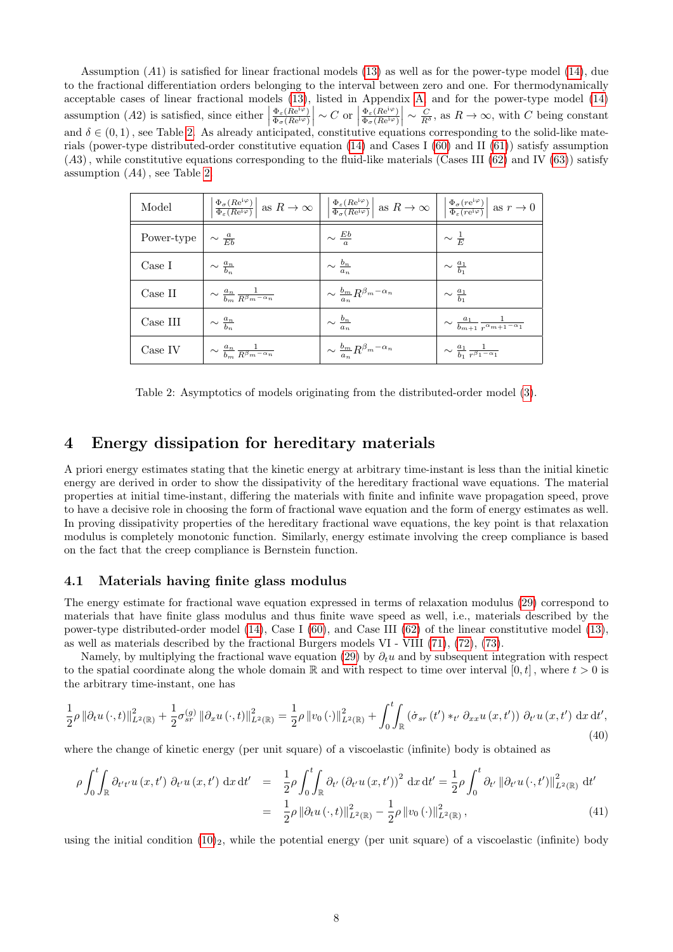Assumption (A1) is satisfied for linear fractional models [\(13\)](#page-1-4) as well as for the power-type model [\(14\)](#page-1-5), due to the fractional differentiation orders belonging to the interval between zero and one. For thermodynamically acceptable cases of linear fractional models [\(13\)](#page-1-4), listed in Appendix [A,](#page-13-0) and for the power-type model [\(14\)](#page-1-5) assumption  $(A2)$  is satisfied, since either  $\Phi_{\varepsilon}$  ( $Re^{i\varphi}$ )  $\frac{\Phi_{\varepsilon}(Re^{i\varphi})}{\Phi_{\sigma}(Re^{i\varphi})}\sim C \text{ or }$  $\Phi_{\varepsilon}$  ( $Re^{i\varphi}$ )  $\frac{\Phi_{\varepsilon}(Re^{i\varphi})}{\Phi_{\sigma}(Re^{i\varphi})}\Big| \sim \frac{C}{R^{\delta}}$ , as  $R \to \infty$ , with C being constant and  $\delta \in (0,1)$ , see Table [2.](#page-7-0) As already anticipated, constitutive equations corresponding to the solid-like materials (power-type distributed-order constitutive equation [\(14\)](#page-1-5) and Cases I [\(60\)](#page-13-1) and II [\(61\)](#page-13-2)) satisfy assumption  $(A3)$ , while constitutive equations corresponding to the fluid-like materials (Cases III  $(62)$  and IV  $(63)$ ) satisfy assumption  $(A4)$ , see Table [2.](#page-7-0)

<span id="page-7-0"></span>

| Model      |                                                         | $\left \frac{\Phi_{\sigma}(Re^{i\varphi})}{\Phi_{\varepsilon}(Re^{i\varphi})}\right $ as $R \to \infty$ $\left \frac{\Phi_{\varepsilon}(Re^{i\varphi})}{\Phi_{\sigma}(Re^{i\varphi})}\right $ as $R \to \infty$ $\left \frac{\Phi_{\sigma}(re^{i\varphi})}{\Phi_{\varepsilon}(re^{i\varphi})}\right $ as $r \to 0$ |                                                                  |
|------------|---------------------------------------------------------|--------------------------------------------------------------------------------------------------------------------------------------------------------------------------------------------------------------------------------------------------------------------------------------------------------------------|------------------------------------------------------------------|
| Power-type | $\sim \frac{a}{Eb}$                                     | $\sim \frac{Eb}{a}$                                                                                                                                                                                                                                                                                                | $\sim \frac{1}{E}$                                               |
| Case I     | $\sim \frac{a_n}{b_n}$                                  | $\sim \frac{b_n}{a_n}$                                                                                                                                                                                                                                                                                             | $\sim \frac{a_1}{b_1}$                                           |
| Case II    | $\sim \frac{a_n}{b_m} \frac{1}{R^{\beta_m - \alpha_n}}$ | $\sim \frac{b_m}{a_n} R^{\beta_m - \alpha_n}$                                                                                                                                                                                                                                                                      | $\sim \frac{a_1}{b_1}$                                           |
| Case III   | $\sim \frac{a_n}{b_n}$                                  | $\sim \frac{b_n}{a_r}$                                                                                                                                                                                                                                                                                             | $\sim \frac{a_1}{b_{m+1}} \frac{1}{r^{\alpha_{m+1} - \alpha_1}}$ |
| Case IV    | $\sim \frac{a_n}{b_m} \frac{1}{R^{\beta_m - \alpha_n}}$ | $\sim \frac{b_m}{a_n} R^{\beta_m - \alpha_n}$                                                                                                                                                                                                                                                                      | $\sim \frac{a_1}{b_1} \frac{1}{r^{\beta_1-\alpha_1}}$            |

Table 2: Asymptotics of models originating from the distributed-order model [\(3\)](#page-0-0).

## 4 Energy dissipation for hereditary materials

A priori energy estimates stating that the kinetic energy at arbitrary time-instant is less than the initial kinetic energy are derived in order to show the dissipativity of the hereditary fractional wave equations. The material properties at initial time-instant, differing the materials with finite and infinite wave propagation speed, prove to have a decisive role in choosing the form of fractional wave equation and the form of energy estimates as well. In proving dissipativity properties of the hereditary fractional wave equations, the key point is that relaxation modulus is completely monotonic function. Similarly, energy estimate involving the creep compliance is based on the fact that the creep compliance is Bernstein function.

#### 4.1 Materials having finite glass modulus

The energy estimate for fractional wave equation expressed in terms of relaxation modulus [\(29\)](#page-4-11) correspond to materials that have finite glass modulus and thus finite wave speed as well, i.e., materials described by the power-type distributed-order model [\(14\)](#page-1-5), Case I [\(60\)](#page-13-1), and Case III [\(62\)](#page-13-3) of the linear constitutive model [\(13\)](#page-1-4), as well as materials described by the fractional Burgers models VI - VIII [\(71\)](#page-15-1), [\(72\)](#page-15-2), [\(73\)](#page-15-3).

Namely, by multiplying the fractional wave equation [\(29\)](#page-4-11) by  $\partial_t u$  and by subsequent integration with respect to the spatial coordinate along the whole domain R and with respect to time over interval  $[0, t]$ , where  $t > 0$  is the arbitrary time-instant, one has

<span id="page-7-1"></span>
$$
\frac{1}{2}\rho \left\|\partial_t u\left(\cdot,t\right)\right\|_{L^2(\mathbb{R})}^2 + \frac{1}{2}\sigma_{sr}^{(g)} \left\|\partial_x u\left(\cdot,t\right)\right\|_{L^2(\mathbb{R})}^2 = \frac{1}{2}\rho \left\|v_0\left(\cdot\right)\right\|_{L^2(\mathbb{R})}^2 + \int_0^t \int_{\mathbb{R}} \left(\dot{\sigma}_{sr}\left(t'\right) *_{t'} \partial_{xx} u\left(x,t'\right)\right) \partial_{t'} u\left(x,t'\right) \, \mathrm{d}x \, \mathrm{d}t',\tag{40}
$$

where the change of kinetic energy (per unit square) of a viscoelastic (infinite) body is obtained as

<span id="page-7-2"></span>
$$
\rho \int_0^t \int_{\mathbb{R}} \partial_{t' t'} u(x, t') \, \partial_{t'} u(x, t') \, dx \, dt' = \frac{1}{2} \rho \int_0^t \int_{\mathbb{R}} \partial_{t'} \left( \partial_{t'} u(x, t') \right)^2 \, dx \, dt' = \frac{1}{2} \rho \int_0^t \partial_{t'} \left\| \partial_{t'} u(x, t') \right\|_{L^2(\mathbb{R})}^2 \, dt' = \frac{1}{2} \rho \left\| \partial_t u(x, t) \right\|_{L^2(\mathbb{R})}^2 - \frac{1}{2} \rho \left\| v_0(x, t) \right\|_{L^2(\mathbb{R})}^2, \tag{41}
$$

using the initial condition  $(10)_2$ , while the potential energy (per unit square) of a viscoelastic (infinite) body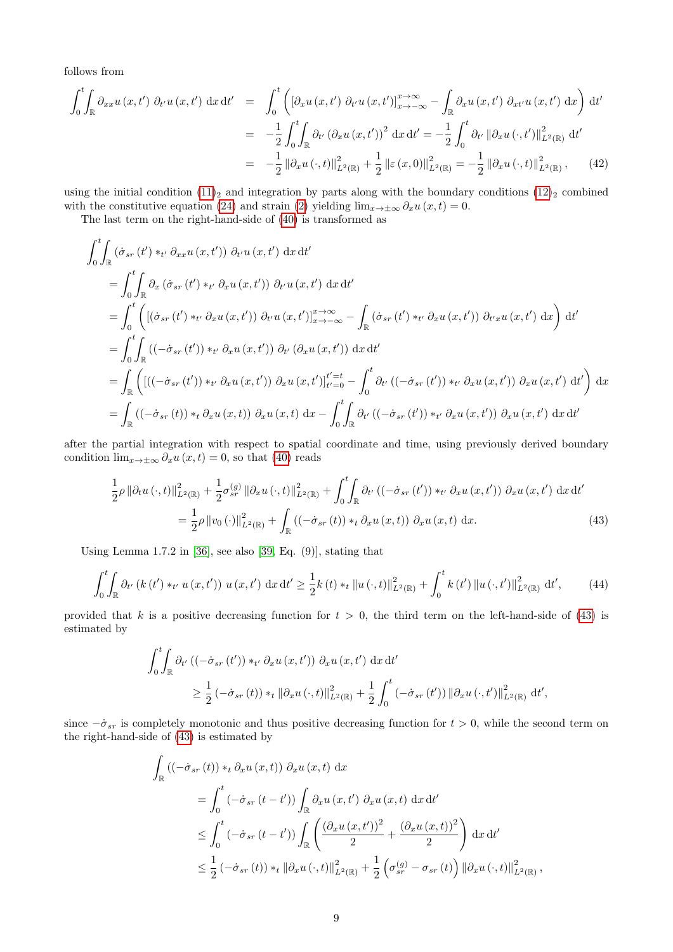follows from

<span id="page-8-1"></span>
$$
\int_{0}^{t} \int_{\mathbb{R}} \partial_{xx} u(x, t') \partial_{t'} u(x, t') dx dt' = \int_{0}^{t} \left( \left[ \partial_{x} u(x, t') \partial_{t'} u(x, t') \right]_{x \to -\infty}^{x \to \infty} - \int_{\mathbb{R}} \partial_{x} u(x, t') \partial_{x'} u(x, t') dx \right) dt'
$$
  
\n
$$
= -\frac{1}{2} \int_{0}^{t} \int_{\mathbb{R}} \partial_{t'} \left( \partial_{x} u(x, t') \right)^{2} dx dt' = -\frac{1}{2} \int_{0}^{t} \partial_{t'} \left\| \partial_{x} u(\cdot, t') \right\|_{L^{2}(\mathbb{R})}^{2} dt'
$$
  
\n
$$
= -\frac{1}{2} \left\| \partial_{x} u(\cdot, t) \right\|_{L^{2}(\mathbb{R})}^{2} + \frac{1}{2} \left\| \varepsilon(x, 0) \right\|_{L^{2}(\mathbb{R})}^{2} = -\frac{1}{2} \left\| \partial_{x} u(\cdot, t) \right\|_{L^{2}(\mathbb{R})}^{2}, \quad (42)
$$

using the initial condition  $(11)_2$  and integration by parts along with the boundary conditions  $(12)_2$  combined with the constitutive equation [\(24\)](#page-4-4) and strain [\(2\)](#page-0-3) yielding  $\lim_{x\to\pm\infty}\partial_x u(x,t)=0$ .

The last term on the right-hand-side of [\(40\)](#page-7-1) is transformed as

$$
\int_{0}^{t} \int_{\mathbb{R}} \left( \dot{\sigma}_{sr} \left( t' \right) *_{t'} \partial_{xx} u \left( x, t' \right) \right) \partial_{t'} u \left( x, t' \right) dx dt'
$$
\n
$$
= \int_{0}^{t} \int_{\mathbb{R}} \partial_{x} \left( \dot{\sigma}_{sr} \left( t' \right) *_{t'} \partial_{x} u \left( x, t' \right) \right) \partial_{t'} u \left( x, t' \right) dx dt'
$$
\n
$$
= \int_{0}^{t} \left( \left[ \left( \dot{\sigma}_{sr} \left( t' \right) *_{t'} \partial_{x} u \left( x, t' \right) \right) \partial_{t'} u \left( x, t' \right) \right]_{x \to -\infty}^{x \to \infty} - \int_{\mathbb{R}} \left( \dot{\sigma}_{sr} \left( t' \right) *_{t'} \partial_{x} u \left( x, t' \right) \right) \partial_{t'} x u \left( x, t' \right) dx \right) dt'
$$
\n
$$
= \int_{0}^{t} \int_{\mathbb{R}} \left( \left( -\dot{\sigma}_{sr} \left( t' \right) \right) *_{t'} \partial_{x} u \left( x, t' \right) \right) \partial_{t'} \left( \partial_{x} u \left( x, t' \right) \right) dx dt'
$$
\n
$$
= \int_{\mathbb{R}} \left( \left[ \left( \left( -\dot{\sigma}_{sr} \left( t' \right) \right) *_{t'} \partial_{x} u \left( x, t' \right) \right) \partial_{x} u \left( x, t' \right) \right]_{t'=0}^{t'} - \int_{0}^{t} \partial_{t'} \left( \left( -\dot{\sigma}_{sr} \left( t' \right) \right) *_{t'} \partial_{x} u \left( x, t' \right) \right) dx' \right) dx
$$
\n
$$
= \int_{\mathbb{R}} \left( \left( -\dot{\sigma}_{sr} \left( t \right) \right) *_{t} \partial_{x} u \left( x, t \right) \right) \partial_{x} u \left( x, t \right) dx - \int_{0}^{t} \int_{\mathbb{R}} \partial_{t'} \left( \left( -\dot{\sigma}_{sr} \left( t' \right) \right) *_{t'} \partial_{x} u \left(
$$

after the partial integration with respect to spatial coordinate and time, using previously derived boundary condition  $\lim_{x\to\pm\infty}\partial_x u(x,t)=0$ , so that [\(40\)](#page-7-1) reads

<span id="page-8-0"></span>
$$
\frac{1}{2}\rho \left\|\partial_t u\left(\cdot,t\right)\right\|_{L^2(\mathbb{R})}^2 + \frac{1}{2}\sigma_{sr}^{(g)} \left\|\partial_x u\left(\cdot,t\right)\right\|_{L^2(\mathbb{R})}^2 + \int_0^t \int_{\mathbb{R}} \partial_{t'} \left(\left(-\dot{\sigma}_{sr}\left(t'\right)\right) *_{t'} \partial_x u\left(x,t'\right)\right) \partial_x u\left(x,t'\right) \, \mathrm{d}x \, \mathrm{d}t'
$$
\n
$$
= \frac{1}{2}\rho \left\|v_0\left(\cdot\right)\right\|_{L^2(\mathbb{R})}^2 + \int_{\mathbb{R}} \left(\left(-\dot{\sigma}_{sr}\left(t\right)\right) *_{t} \partial_x u\left(x,t\right)\right) \partial_x u\left(x,t\right) \, \mathrm{d}x. \tag{43}
$$

Using Lemma 1.7.2 in [\[36\]](#page-19-23), see also [\[39,](#page-19-24) Eq. (9)], stating that

<span id="page-8-2"></span>
$$
\int_{0}^{t} \int_{\mathbb{R}} \partial_{t'} \left( k(t') \ast_{t'} u \left( x, t' \right) \right) u \left( x, t' \right) \, \mathrm{d}x \, \mathrm{d}t' \geq \frac{1}{2} k(t) \ast_t \| u \left( \cdot, t \right) \|_{L^2(\mathbb{R})}^2 + \int_{0}^{t} k(t') \left\| u \left( \cdot, t' \right) \right\|_{L^2(\mathbb{R})}^2 \, \mathrm{d}t',\tag{44}
$$

provided that k is a positive decreasing function for  $t > 0$ , the third term on the left-hand-side of [\(43\)](#page-8-0) is estimated by

$$
\int_0^t \int_{\mathbb{R}} \partial_{t'} \left( (-\dot{\sigma}_{sr}(t')) \ast_{t'} \partial_x u(x, t') \right) \partial_x u(x, t') \, dx \, dt'
$$
\n
$$
\geq \frac{1}{2} \left( -\dot{\sigma}_{sr}(t) \right) \ast_t \left\| \partial_x u(x, t') \right\|_{L^2(\mathbb{R})}^2 + \frac{1}{2} \int_0^t \left( -\dot{\sigma}_{sr}(t') \right) \left\| \partial_x u(x, t') \right\|_{L^2(\mathbb{R})}^2 \, dt',
$$

since  $-\dot{\sigma}_{sr}$  is completely monotonic and thus positive decreasing function for  $t > 0$ , while the second term on the right-hand-side of [\(43\)](#page-8-0) is estimated by

$$
\int_{\mathbb{R}} ((-\dot{\sigma}_{sr}(t)) *_{t} \partial_{x} u(x, t)) \partial_{x} u(x, t) dx
$$
\n
$$
= \int_{0}^{t} (-\dot{\sigma}_{sr}(t - t')) \int_{\mathbb{R}} \partial_{x} u(x, t') \partial_{x} u(x, t) dx dt'
$$
\n
$$
\leq \int_{0}^{t} (-\dot{\sigma}_{sr}(t - t')) \int_{\mathbb{R}} \left( \frac{(\partial_{x} u(x, t'))^{2}}{2} + \frac{(\partial_{x} u(x, t))^{2}}{2} \right) dx dt'
$$
\n
$$
\leq \frac{1}{2} (-\dot{\sigma}_{sr}(t)) *_{t} ||\partial_{x} u(\cdot, t)||^{2}_{L^{2}(\mathbb{R})} + \frac{1}{2} \left( \sigma_{sr}^{(g)} - \sigma_{sr}(t) \right) ||\partial_{x} u(\cdot, t)||^{2}_{L^{2}(\mathbb{R})},
$$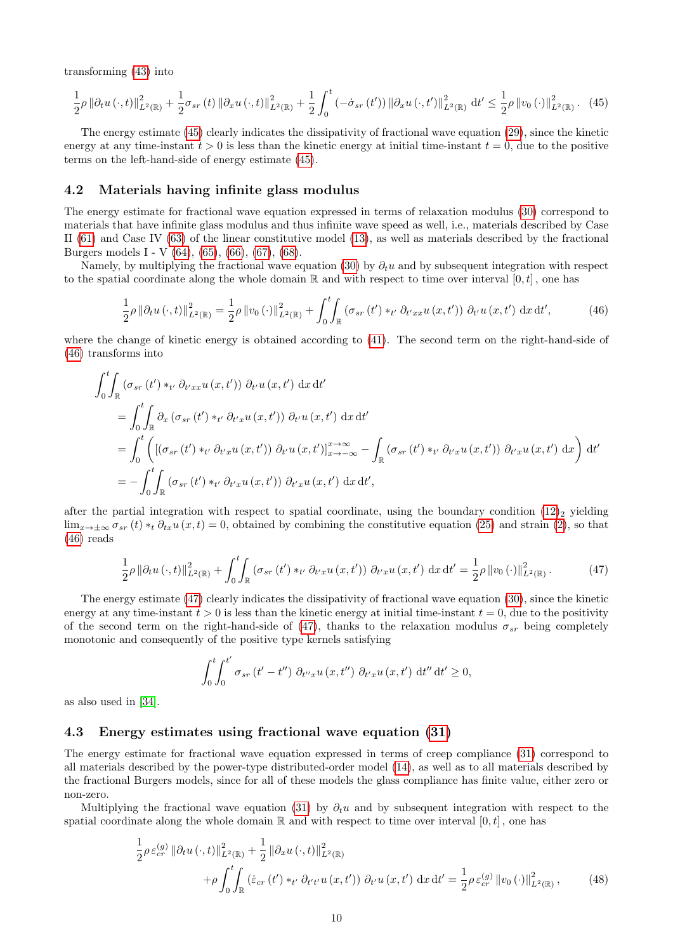transforming [\(43\)](#page-8-0) into

<span id="page-9-0"></span>
$$
\frac{1}{2}\rho \left\|\partial_t u\left(\cdot,t\right)\right\|_{L^2(\mathbb{R})}^2 + \frac{1}{2}\sigma_{sr}(t) \left\|\partial_x u\left(\cdot,t\right)\right\|_{L^2(\mathbb{R})}^2 + \frac{1}{2}\int_0^t \left(-\dot{\sigma}_{sr}(t')\right) \left\|\partial_x u\left(\cdot,t'\right)\right\|_{L^2(\mathbb{R})}^2 dt' \le \frac{1}{2}\rho \left\|v_0\left(\cdot\right)\right\|_{L^2(\mathbb{R})}^2. \tag{45}
$$

The energy estimate [\(45\)](#page-9-0) clearly indicates the dissipativity of fractional wave equation [\(29\)](#page-4-11), since the kinetic energy at any time-instant  $t > 0$  is less than the kinetic energy at initial time-instant  $t = 0$ , due to the positive terms on the left-hand-side of energy estimate [\(45\)](#page-9-0).

#### 4.2 Materials having infinite glass modulus

The energy estimate for fractional wave equation expressed in terms of relaxation modulus [\(30\)](#page-4-12) correspond to materials that have infinite glass modulus and thus infinite wave speed as well, i.e., materials described by Case II [\(61\)](#page-13-2) and Case IV [\(63\)](#page-13-4) of the linear constitutive model [\(13\)](#page-1-4), as well as materials described by the fractional Burgers models I - V [\(64\)](#page-14-1), [\(65\)](#page-14-2), [\(66\)](#page-14-3), [\(67\)](#page-14-4), [\(68\)](#page-14-5).

Namely, by multiplying the fractional wave equation [\(30\)](#page-4-12) by  $\partial_t u$  and by subsequent integration with respect to the spatial coordinate along the whole domain  $\mathbb R$  and with respect to time over interval  $[0, t]$ , one has

<span id="page-9-1"></span>
$$
\frac{1}{2}\rho \left\|\partial_t u\left(\cdot,t\right)\right\|_{L^2(\mathbb{R})}^2 = \frac{1}{2}\rho \left\|v_0\left(\cdot\right)\right\|_{L^2(\mathbb{R})}^2 + \int_0^t \int_{\mathbb{R}} \left(\sigma_{sr}\left(t'\right) *_{t'} \partial_{t'xx} u\left(x,t'\right)\right) \partial_{t'} u\left(x,t'\right) \, \mathrm{d}x \, \mathrm{d}t',\tag{46}
$$

where the change of kinetic energy is obtained according to [\(41\)](#page-7-2). The second term on the right-hand-side of [\(46\)](#page-9-1) transforms into

$$
\int_{0}^{t} \int_{\mathbb{R}} \left( \sigma_{sr} \left( t' \right) *_{t'} \partial_{t'xx} u \left( x, t' \right) \right) \partial_{t'} u \left( x, t' \right) dx dt'
$$
\n
$$
= \int_{0}^{t} \int_{\mathbb{R}} \partial_{x} \left( \sigma_{sr} \left( t' \right) *_{t'} \partial_{t'x} u \left( x, t' \right) \right) \partial_{t'} u \left( x, t' \right) dx dt'
$$
\n
$$
= \int_{0}^{t} \left( \left[ \left( \sigma_{sr} \left( t' \right) *_{t'} \partial_{t'x} u \left( x, t' \right) \right) \partial_{t'} u \left( x, t' \right) \right]_{x \to -\infty}^{x \to \infty} - \int_{\mathbb{R}} \left( \sigma_{sr} \left( t' \right) *_{t'} \partial_{t'x} u \left( x, t' \right) \right) \partial_{t'} u \left( x, t' \right) dx \right) dt'
$$
\n
$$
= - \int_{0}^{t} \int_{\mathbb{R}} \left( \sigma_{sr} \left( t' \right) *_{t'} \partial_{t'x} u \left( x, t' \right) \right) \partial_{t'} u \left( x, t' \right) dx dt',
$$

after the partial integration with respect to spatial coordinate, using the boundary condition  $(12)_2$  yielding  $\lim_{x\to\pm\infty} \sigma_{sr}(t) *_{t} \partial_{tx} u(x,t) = 0$ , obtained by combining the constitutive equation [\(25\)](#page-4-5) and strain [\(2\)](#page-0-3), so that [\(46\)](#page-9-1) reads

<span id="page-9-2"></span>
$$
\frac{1}{2}\rho \left\|\partial_t u\left(\cdot,t\right)\right\|_{L^2(\mathbb{R})}^2 + \int_0^t \int_{\mathbb{R}} \left(\sigma_{sr}\left(t'\right) *_{t'} \partial_{t'x} u\left(x,t'\right)\right) \, \partial_{t'x} u\left(x,t'\right) \, \mathrm{d}x \, \mathrm{d}t' = \frac{1}{2}\rho \left\|v_0\left(\cdot\right)\right\|_{L^2(\mathbb{R})}^2. \tag{47}
$$

The energy estimate [\(47\)](#page-9-2) clearly indicates the dissipativity of fractional wave equation [\(30\)](#page-4-12), since the kinetic energy at any time-instant  $t > 0$  is less than the kinetic energy at initial time-instant  $t = 0$ , due to the positivity of the second term on the right-hand-side of [\(47\)](#page-9-2), thanks to the relaxation modulus  $\sigma_{sr}$  being completely monotonic and consequently of the positive type kernels satisfying

$$
\int_0^t \int_0^{t'} \sigma_{sr}(t'-t'') \, \partial_{t''x} u(x,t'') \, \partial_{t'x} u(x,t') \, \mathrm{d}t'' \, \mathrm{d}t' \geq 0,
$$

as also used in [\[34\]](#page-19-9).

#### 4.3 Energy estimates using fractional wave equation [\(31\)](#page-5-3)

The energy estimate for fractional wave equation expressed in terms of creep compliance [\(31\)](#page-5-3) correspond to all materials described by the power-type distributed-order model [\(14\)](#page-1-5), as well as to all materials described by the fractional Burgers models, since for all of these models the glass compliance has finite value, either zero or non-zero.

Multiplying the fractional wave equation [\(31\)](#page-5-3) by  $\partial_t u$  and by subsequent integration with respect to the spatial coordinate along the whole domain  $\mathbb R$  and with respect to time over interval  $[0, t]$ , one has

<span id="page-9-3"></span>
$$
\frac{1}{2}\rho \varepsilon_{cr}^{(g)} \left\| \partial_t u \left( \cdot, t \right) \right\|_{L^2(\mathbb{R})}^2 + \frac{1}{2} \left\| \partial_x u \left( \cdot, t \right) \right\|_{L^2(\mathbb{R})}^2 + \rho \int_0^t \int_{\mathbb{R}} \left( \dot{\varepsilon}_{cr} \left( t' \right) *_{t'} \partial_{t't'} u \left( x, t' \right) \right) \partial_{t'} u \left( x, t' \right) \, \mathrm{d}x \, \mathrm{d}t' = \frac{1}{2} \rho \varepsilon_{cr}^{(g)} \left\| v_0 \left( \cdot \right) \right\|_{L^2(\mathbb{R})}^2, \tag{48}
$$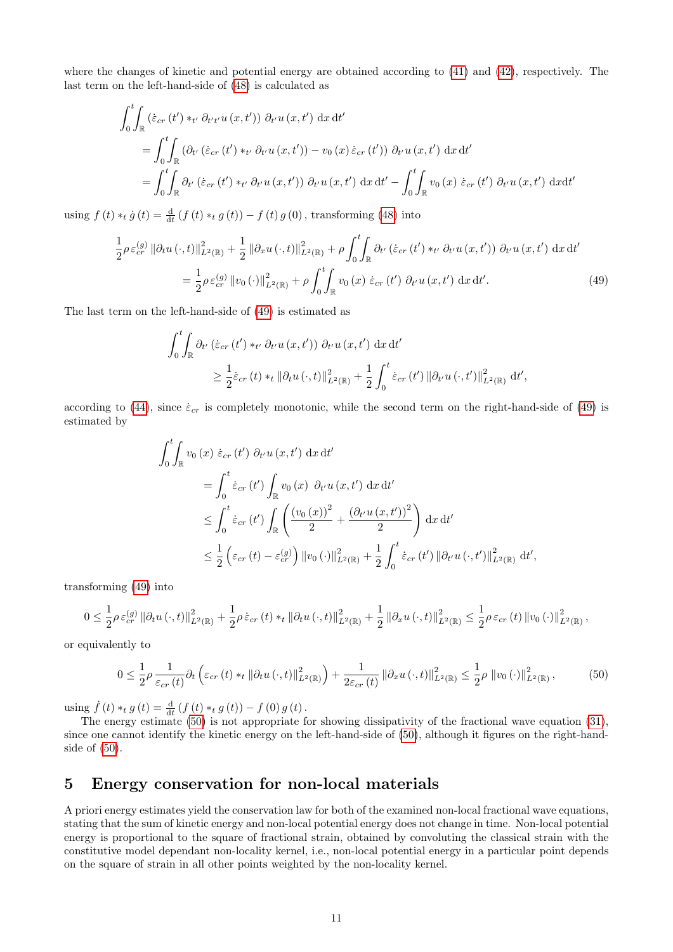where the changes of kinetic and potential energy are obtained according to [\(41\)](#page-7-2) and [\(42\)](#page-8-1), respectively. The last term on the left-hand-side of [\(48\)](#page-9-3) is calculated as

$$
\int_0^t \int_{\mathbb{R}} \left( \dot{\varepsilon}_{cr} \left( t' \right) *_{t'} \partial_{t' t'} u \left( x, t' \right) \right) \partial_{t'} u \left( x, t' \right) \, dx \, dt'
$$
\n
$$
= \int_0^t \int_{\mathbb{R}} \left( \partial_{t'} \left( \dot{\varepsilon}_{cr} \left( t' \right) *_{t'} \partial_{t'} u \left( x, t' \right) \right) - v_0 \left( x \right) \dot{\varepsilon}_{cr} \left( t' \right) \right) \partial_{t'} u \left( x, t' \right) \, dx \, dt'
$$
\n
$$
= \int_0^t \int_{\mathbb{R}} \partial_{t'} \left( \dot{\varepsilon}_{cr} \left( t' \right) *_{t'} \partial_{t'} u \left( x, t' \right) \right) \partial_{t'} u \left( x, t' \right) \, dx \, dt' - \int_0^t \int_{\mathbb{R}} v_0 \left( x \right) \dot{\varepsilon}_{cr} \left( t' \right) \partial_{t'} u \left( x, t' \right) \, dx dt'
$$

using  $f(t) *_{t} \dot{g}(t) = \frac{d}{dt} (f(t) *_{t} g(t)) - f(t) g(0)$ , transforming [\(48\)](#page-9-3) into

<span id="page-10-0"></span>
$$
\frac{1}{2}\rho \,\varepsilon_{cr}^{(g)}\,\|\partial_t u\,(\cdot,t)\|_{L^2(\mathbb{R})}^2 + \frac{1}{2}\,\|\partial_x u\,(\cdot,t)\|_{L^2(\mathbb{R})}^2 + \rho \int_0^t \int_{\mathbb{R}} \partial_{t'}\left(\dot{\varepsilon}_{cr}\,(t')\ast_{t'}\partial_{t'} u\,(x,t')\right) \partial_{t'} u\,(x,t') \,dx\,dt' \n= \frac{1}{2}\rho \,\varepsilon_{cr}^{(g)}\,\|v_0\,(\cdot)\|_{L^2(\mathbb{R})}^2 + \rho \int_0^t \int_{\mathbb{R}} v_0\,(x)\,\dot{\varepsilon}_{cr}\,(t')\,\partial_{t'} u\,(x,t') \,dx\,dt'.
$$
\n(49)

The last term on the left-hand-side of [\(49\)](#page-10-0) is estimated as

$$
\int_0^t \int_{\mathbb{R}} \partial_{t'} \left( \dot{\varepsilon}_{cr} \left( t' \right) *_{t'} \partial_{t'} u \left( x, t' \right) \right) \partial_{t'} u \left( x, t' \right) \, \mathrm{d}x \, \mathrm{d}t' \n\geq \frac{1}{2} \dot{\varepsilon}_{cr} \left( t \right) *_{t} \left\| \partial_{t} u \left( \cdot, t \right) \right\|_{L^2(\mathbb{R})}^2 + \frac{1}{2} \int_0^t \dot{\varepsilon}_{cr} \left( t' \right) \left\| \partial_{t'} u \left( \cdot, t' \right) \right\|_{L^2(\mathbb{R})}^2 \, \mathrm{d}t',
$$

according to [\(44\)](#page-8-2), since  $\dot{\varepsilon}_{cr}$  is completely monotonic, while the second term on the right-hand-side of [\(49\)](#page-10-0) is estimated by

$$
\int_{0}^{t} \int_{\mathbb{R}} v_{0}(x) \dot{\varepsilon}_{cr}(t') \partial_{t'} u(x, t') dx dt'
$$
\n
$$
= \int_{0}^{t} \dot{\varepsilon}_{cr}(t') \int_{\mathbb{R}} v_{0}(x) \partial_{t'} u(x, t') dx dt'
$$
\n
$$
\leq \int_{0}^{t} \dot{\varepsilon}_{cr}(t') \int_{\mathbb{R}} \left( \frac{(v_{0}(x))^{2}}{2} + \frac{(\partial_{t'} u(x, t'))^{2}}{2} \right) dx dt'
$$
\n
$$
\leq \frac{1}{2} \left( \varepsilon_{cr}(t) - \varepsilon_{cr}^{(g)} \right) ||v_{0}( \cdot)||_{L^{2}(\mathbb{R})}^{2} + \frac{1}{2} \int_{0}^{t} \dot{\varepsilon}_{cr}(t') ||\partial_{t'} u(\cdot, t')||_{L^{2}(\mathbb{R})}^{2} dt',
$$

transforming [\(49\)](#page-10-0) into

$$
0 \leq \frac{1}{2} \rho \, \varepsilon_{cr}^{(g)} \, \|\partial_t u \, (\cdot, t)\|_{L^2(\mathbb{R})}^2 + \frac{1}{2} \rho \, \dot{\varepsilon}_{cr} \, (t) \ast_t \, \|\partial_t u \, (\cdot, t)\|_{L^2(\mathbb{R})}^2 + \frac{1}{2} \, \|\partial_x u \, (\cdot, t)\|_{L^2(\mathbb{R})}^2 \leq \frac{1}{2} \rho \, \varepsilon_{cr} \, (t) \, \|v_0 \, (\cdot)\|_{L^2(\mathbb{R})}^2 \,,
$$

or equivalently to

<span id="page-10-1"></span>
$$
0 \leq \frac{1}{2}\rho \frac{1}{\varepsilon_{cr}(t)}\partial_t \left(\varepsilon_{cr}(t) *_{t} \left\|\partial_t u\left(\cdot,t\right)\right\|_{L^2(\mathbb{R})}^2\right) + \frac{1}{2\varepsilon_{cr}(t)}\left\|\partial_x u\left(\cdot,t\right)\right\|_{L^2(\mathbb{R})}^2 \leq \frac{1}{2}\rho \left\|v_0\left(\cdot\right)\right\|_{L^2(\mathbb{R})}^2, \tag{50}
$$

using  $\dot{f}(t) *_{t} g(t) = \frac{d}{dt} (f(t) *_{t} g(t)) - f(0) g(t)$ .

The energy estimate [\(50\)](#page-10-1) is not appropriate for showing dissipativity of the fractional wave equation [\(31\)](#page-5-3), since one cannot identify the kinetic energy on the left-hand-side of [\(50\)](#page-10-1), although it figures on the right-handside of [\(50\)](#page-10-1).

#### 5 Energy conservation for non-local materials

A priori energy estimates yield the conservation law for both of the examined non-local fractional wave equations, stating that the sum of kinetic energy and non-local potential energy does not change in time. Non-local potential energy is proportional to the square of fractional strain, obtained by convoluting the classical strain with the constitutive model dependant non-locality kernel, i.e., non-local potential energy in a particular point depends on the square of strain in all other points weighted by the non-locality kernel.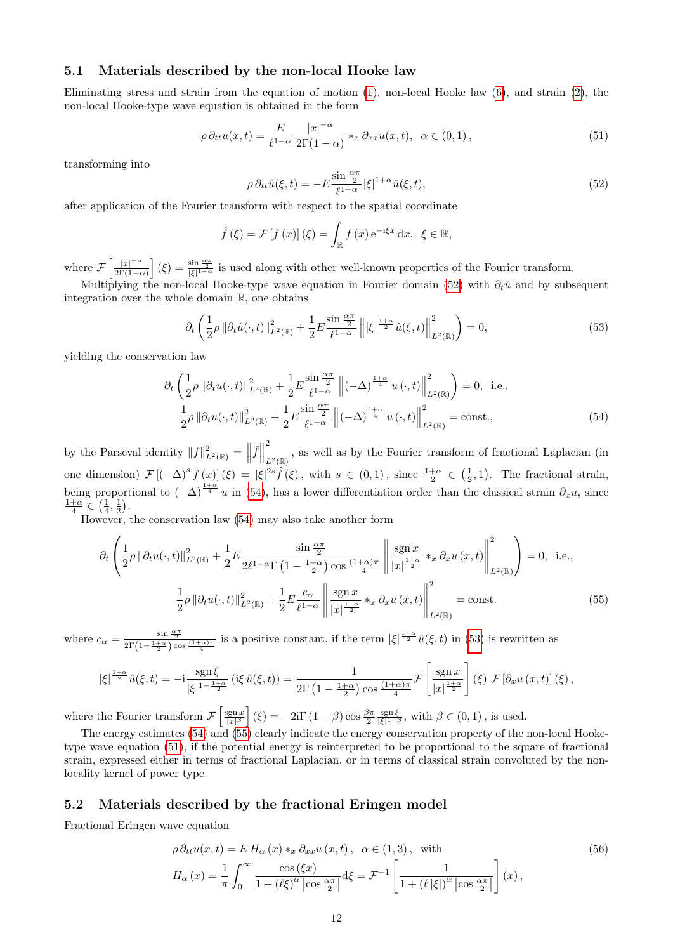#### 5.1 Materials described by the non-local Hooke law

Eliminating stress and strain from the equation of motion  $(1)$ , non-local Hooke law  $(6)$ , and strain  $(2)$ , the non-local Hooke-type wave equation is obtained in the form

<span id="page-11-4"></span>
$$
\rho \, \partial_{tt} u(x,t) = \frac{E}{\ell^{1-\alpha}} \frac{|x|^{-\alpha}}{2\Gamma(1-\alpha)} \ast_x \partial_{xx} u(x,t), \ \alpha \in (0,1), \tag{51}
$$

transforming into

<span id="page-11-0"></span>
$$
\rho \, \partial_{tt} \hat{u}(\xi, t) = -E \frac{\sin \frac{\alpha \pi}{2}}{\ell^{1-\alpha}} |\xi|^{1+\alpha} \hat{u}(\xi, t), \tag{52}
$$

after application of the Fourier transform with respect to the spatial coordinate

<span id="page-11-1"></span>
$$
\hat{f}(\xi) = \mathcal{F}[f(x)](\xi) = \int_{\mathbb{R}} f(x) e^{-i\xi x} dx, \ \xi \in \mathbb{R},
$$

where  $\mathcal{F}\left[\frac{|x|^{-\alpha}}{2\Gamma(1-\alpha)}\right]$  $\frac{|x|^{-\alpha}}{2\Gamma(1-\alpha)}$  (ξ) =  $\frac{\sin \frac{\alpha \pi}{2}}{|\xi|^{1-\alpha}}$  is used along with other well-known properties of the Fourier transform.

Multiplying the non-local Hooke-type wave equation in Fourier domain [\(52\)](#page-11-0) with  $\partial_t\hat{u}$  and by subsequent integration over the whole domain R, one obtains

<span id="page-11-2"></span>
$$
\partial_t \left( \frac{1}{2} \rho \left\| \partial_t \hat{u}(\cdot, t) \right\|_{L^2(\mathbb{R})}^2 + \frac{1}{2} E \frac{\sin \frac{\alpha \pi}{2}}{\ell^{1-\alpha}} \left\| |\xi|^{\frac{1+\alpha}{2}} \hat{u}(\xi, t) \right\|_{L^2(\mathbb{R})}^2 \right) = 0, \tag{53}
$$

yielding the conservation law

<span id="page-11-3"></span>
$$
\partial_{t} \left( \frac{1}{2} \rho \left\| \partial_{t} u(\cdot, t) \right\|_{L^{2}(\mathbb{R})}^{2} + \frac{1}{2} E \frac{\sin \frac{\alpha \pi}{2}}{\ell^{1-\alpha}} \left\| (-\Delta)^{\frac{1+\alpha}{4}} u(\cdot, t) \right\|_{L^{2}(\mathbb{R})}^{2} \right) = 0, \text{ i.e.,}
$$
  

$$
\frac{1}{2} \rho \left\| \partial_{t} u(\cdot, t) \right\|_{L^{2}(\mathbb{R})}^{2} + \frac{1}{2} E \frac{\sin \frac{\alpha \pi}{2}}{\ell^{1-\alpha}} \left\| (-\Delta)^{\frac{1+\alpha}{4}} u(\cdot, t) \right\|_{L^{2}(\mathbb{R})}^{2} = \text{const.,}
$$
(54)

by the Parseval identity  $||f||_{L^2(\mathbb{R})}^2 = ||\hat{f}||$ 2  $_{L^2(\mathbb{R})}$  , as well as by the Fourier transform of fractional Laplacian (in one dimension)  $\mathcal{F}\left[(-\Delta)^s f(x)\right](\xi) = |\xi|^{2s} \hat{f}(\xi)$ , with  $s \in (0,1)$ , since  $\frac{1+\alpha}{2} \in (\frac{1}{2},1)$ . The fractional strain, being proportional to  $(-\Delta)^{\frac{1+\alpha}{4}}u$  in [\(54\)](#page-11-1), has a lower differentiation order than the classical strain  $\partial_x u$ , since  $\frac{1+\alpha}{4} \in (\frac{1}{4},\frac{1}{2}).$ 

However, the conservation law [\(54\)](#page-11-1) may also take another form

$$
\partial_t \left( \frac{1}{2} \rho \left\| \partial_t u(\cdot, t) \right\|_{L^2(\mathbb{R})}^2 + \frac{1}{2} E \frac{\sin \frac{\alpha \pi}{2}}{2\ell^{1-\alpha} \Gamma \left( 1 - \frac{1+\alpha}{2} \right) \cos \frac{(1+\alpha)\pi}{4}} \left\| \frac{\operatorname{sgn} x}{|x|^{\frac{1+\alpha}{2}}} *_{x} \partial_x u(x, t) \right\|_{L^2(\mathbb{R})}^2 \right) = 0, \text{ i.e.,}
$$

$$
\frac{1}{2} \rho \left\| \partial_t u(\cdot, t) \right\|_{L^2(\mathbb{R})}^2 + \frac{1}{2} E \frac{c_\alpha}{\ell^{1-\alpha}} \left\| \frac{\operatorname{sgn} x}{|x|^{\frac{1+\alpha}{2}}} *_{x} \partial_x u(x, t) \right\|_{L^2(\mathbb{R})}^2 = \text{const.}
$$
(55)

where  $c_{\alpha} = \frac{\sin \frac{\alpha \pi}{2}}{2\Gamma(1-\frac{1+\alpha}{2})\cos\frac{(1+\alpha)\pi}{4}}$  is a positive constant, if the term  $|\xi|^{\frac{1+\alpha}{2}}\hat{u}(\xi,t)$  in [\(53\)](#page-11-2) is rewritten as

$$
|\xi|^{\frac{1+\alpha}{2}}\hat{u}(\xi,t) = -i \frac{\operatorname{sgn} \xi}{|\xi|^{1-\frac{1+\alpha}{2}}} \left( i\xi \,\hat{u}(\xi,t) \right) = \frac{1}{2\Gamma\left(1 - \frac{1+\alpha}{2}\right) \cos\frac{(1+\alpha)\pi}{4}} \mathcal{F}\left[\frac{\operatorname{sgn} x}{|x|^{\frac{1+\alpha}{2}}}\right](\xi) \,\mathcal{F}\left[\partial_x u\left(x,t\right)\right](\xi),
$$

where the Fourier transform  $\mathcal{F}\left[\frac{\text{sgn} x}{|x|^{\beta}}\right](\xi) = -2i\Gamma(1-\beta)\cos\frac{\beta\pi}{2}\frac{\text{sgn}\xi}{|\xi|^{1-\beta}}, \text{ with } \beta \in (0,1), \text{ is used.}$ 

The energy estimates [\(54\)](#page-11-1) and [\(55\)](#page-11-3) clearly indicate the energy conservation property of the non-local Hooketype wave equation [\(51\)](#page-11-4), if the potential energy is reinterpreted to be proportional to the square of fractional strain, expressed either in terms of fractional Laplacian, or in terms of classical strain convoluted by the nonlocality kernel of power type.

#### 5.2 Materials described by the fractional Eringen model

Fractional Eringen wave equation

<span id="page-11-5"></span>
$$
\rho \partial_{tt} u(x,t) = E H_{\alpha}(x) *_{x} \partial_{xx} u(x,t), \quad \alpha \in (1,3), \text{ with}
$$
\n
$$
H_{\alpha}(x) = \frac{1}{\pi} \int_{0}^{\infty} \frac{\cos(\xi x)}{1 + (\ell \xi)^{\alpha} |\cos \frac{\alpha \pi}{2}|} d\xi = \mathcal{F}^{-1} \left[ \frac{1}{1 + (\ell |\xi|)^{\alpha} |\cos \frac{\alpha \pi}{2}|} \right](x),
$$
\n(56)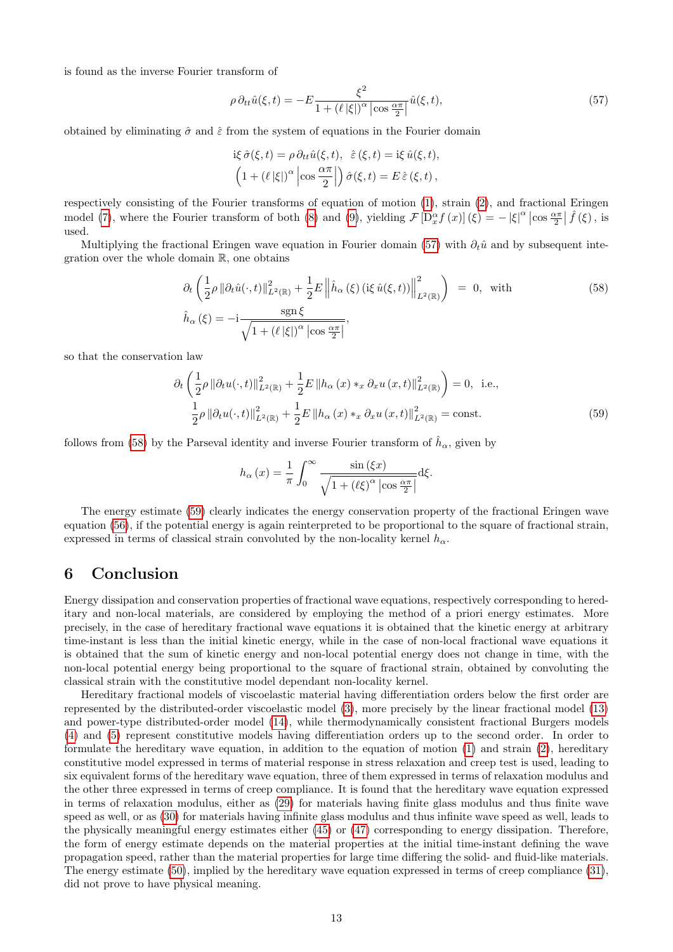is found as the inverse Fourier transform of

<span id="page-12-0"></span>
$$
\rho \,\partial_{tt}\hat{u}(\xi,t) = -E \frac{\xi^2}{1 + (\ell |\xi|)^\alpha \left| \cos \frac{\alpha \pi}{2} \right|} \hat{u}(\xi,t),\tag{57}
$$

obtained by eliminating  $\hat{\sigma}$  and  $\hat{\varepsilon}$  from the system of equations in the Fourier domain

$$
\begin{aligned}\n\text{i}\xi\,\hat{\sigma}(\xi,t) &= \rho\,\partial_{tt}\hat{u}(\xi,t), \quad \hat{\varepsilon}\,(\xi,t) = \text{i}\xi\,\hat{u}(\xi,t), \\
\left(1 + (\ell\,|\xi|)^\alpha\left|\cos\frac{\alpha\pi}{2}\right|\right)\hat{\sigma}(\xi,t) &= E\,\hat{\varepsilon}\,(\xi,t)\,,\n\end{aligned}
$$

respectively consisting of the Fourier transforms of equation of motion [\(1\)](#page-0-2), strain [\(2\)](#page-0-3), and fractional Eringen model [\(7\)](#page-1-2), where the Fourier transform of both [\(8\)](#page-1-8) and [\(9\)](#page-1-8), yielding  $\mathcal{F}\left[\mathcal{D}_x^{\alpha}f(x)\right](\xi) = -|\xi|^{\alpha}\left|\cos\frac{\alpha\pi}{2}\right| \hat{f}(\xi)$ , is used.

Multiplying the fractional Eringen wave equation in Fourier domain [\(57\)](#page-12-0) with  $\partial_t \hat{u}$  and by subsequent integration over the whole domain R, one obtains

<span id="page-12-1"></span>
$$
\partial_t \left( \frac{1}{2} \rho \left\| \partial_t \hat{u}(\cdot, t) \right\|_{L^2(\mathbb{R})}^2 + \frac{1}{2} E \left\| \hat{h}_\alpha \left( \xi \right) (\text{i}\xi \hat{u}(\xi, t)) \right\|_{L^2(\mathbb{R})}^2 \right) = 0, \text{ with}
$$
\n
$$
\hat{h}_\alpha \left( \xi \right) = -\text{i} \frac{\text{sgn}\,\xi}{\sqrt{1 + \left( \ell \left| \xi \right| \right)^\alpha \left| \cos \frac{\alpha \pi}{2} \right|}},
$$
\n(58)

so that the conservation law

$$
\partial_{t} \left( \frac{1}{2} \rho \left\| \partial_{t} u(\cdot, t) \right\|_{L^{2}(\mathbb{R})}^{2} + \frac{1}{2} E \left\| h_{\alpha} \left( x \right) *_{x} \partial_{x} u \left( x, t \right) \right\|_{L^{2}(\mathbb{R})}^{2} \right) = 0, \text{ i.e.,}
$$
\n
$$
\frac{1}{2} \rho \left\| \partial_{t} u(\cdot, t) \right\|_{L^{2}(\mathbb{R})}^{2} + \frac{1}{2} E \left\| h_{\alpha} \left( x \right) *_{x} \partial_{x} u \left( x, t \right) \right\|_{L^{2}(\mathbb{R})}^{2} = \text{const.}
$$
\n
$$
(59)
$$

follows from [\(58\)](#page-12-1) by the Parseval identity and inverse Fourier transform of  $\hat{h}_{\alpha}$ , given by

<span id="page-12-2"></span>
$$
h_{\alpha}(x) = \frac{1}{\pi} \int_0^{\infty} \frac{\sin(\xi x)}{\sqrt{1 + (\ell \xi)^{\alpha} |\cos \frac{\alpha \pi}{2}|}} d\xi.
$$

The energy estimate [\(59\)](#page-12-2) clearly indicates the energy conservation property of the fractional Eringen wave equation [\(56\)](#page-11-5), if the potential energy is again reinterpreted to be proportional to the square of fractional strain, expressed in terms of classical strain convoluted by the non-locality kernel  $h_{\alpha}$ .

#### 6 Conclusion

Energy dissipation and conservation properties of fractional wave equations, respectively corresponding to hereditary and non-local materials, are considered by employing the method of a priori energy estimates. More precisely, in the case of hereditary fractional wave equations it is obtained that the kinetic energy at arbitrary time-instant is less than the initial kinetic energy, while in the case of non-local fractional wave equations it is obtained that the sum of kinetic energy and non-local potential energy does not change in time, with the non-local potential energy being proportional to the square of fractional strain, obtained by convoluting the classical strain with the constitutive model dependant non-locality kernel.

Hereditary fractional models of viscoelastic material having differentiation orders below the first order are represented by the distributed-order viscoelastic model [\(3\)](#page-0-0), more precisely by the linear fractional model [\(13\)](#page-1-4) and power-type distributed-order model [\(14\)](#page-1-5), while thermodynamically consistent fractional Burgers models [\(4\)](#page-0-1) and [\(5\)](#page-1-0) represent constitutive models having differentiation orders up to the second order. In order to formulate the hereditary wave equation, in addition to the equation of motion [\(1\)](#page-0-2) and strain [\(2\)](#page-0-3), hereditary constitutive model expressed in terms of material response in stress relaxation and creep test is used, leading to six equivalent forms of the hereditary wave equation, three of them expressed in terms of relaxation modulus and the other three expressed in terms of creep compliance. It is found that the hereditary wave equation expressed in terms of relaxation modulus, either as [\(29\)](#page-4-11) for materials having finite glass modulus and thus finite wave speed as well, or as [\(30\)](#page-4-12) for materials having infinite glass modulus and thus infinite wave speed as well, leads to the physically meaningful energy estimates either [\(45\)](#page-9-0) or [\(47\)](#page-9-2) corresponding to energy dissipation. Therefore, the form of energy estimate depends on the material properties at the initial time-instant defining the wave propagation speed, rather than the material properties for large time differing the solid- and fluid-like materials. The energy estimate [\(50\)](#page-10-1), implied by the hereditary wave equation expressed in terms of creep compliance [\(31\)](#page-5-3), did not prove to have physical meaning.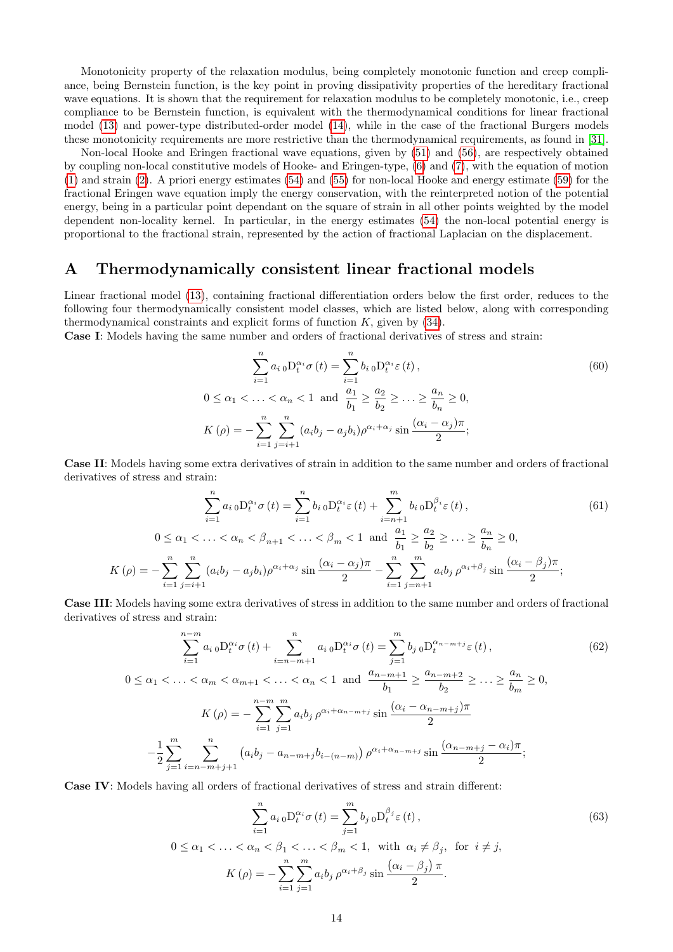Monotonicity property of the relaxation modulus, being completely monotonic function and creep compliance, being Bernstein function, is the key point in proving dissipativity properties of the hereditary fractional wave equations. It is shown that the requirement for relaxation modulus to be completely monotonic, i.e., creep compliance to be Bernstein function, is equivalent with the thermodynamical conditions for linear fractional model [\(13\)](#page-1-4) and power-type distributed-order model [\(14\)](#page-1-5), while in the case of the fractional Burgers models these monotonicity requirements are more restrictive than the thermodynamical requirements, as found in [\[31\]](#page-19-22).

Non-local Hooke and Eringen fractional wave equations, given by [\(51\)](#page-11-4) and [\(56\)](#page-11-5), are respectively obtained by coupling non-local constitutive models of Hooke- and Eringen-type, [\(6\)](#page-1-1) and [\(7\)](#page-1-2), with the equation of motion [\(1\)](#page-0-2) and strain [\(2\)](#page-0-3). A priori energy estimates [\(54\)](#page-11-1) and [\(55\)](#page-11-3) for non-local Hooke and energy estimate [\(59\)](#page-12-2) for the fractional Eringen wave equation imply the energy conservation, with the reinterpreted notion of the potential energy, being in a particular point dependant on the square of strain in all other points weighted by the model dependent non-locality kernel. In particular, in the energy estimates [\(54\)](#page-11-1) the non-local potential energy is proportional to the fractional strain, represented by the action of fractional Laplacian on the displacement.

## <span id="page-13-0"></span>A Thermodynamically consistent linear fractional models

Linear fractional model [\(13\)](#page-1-4), containing fractional differentiation orders below the first order, reduces to the following four thermodynamically consistent model classes, which are listed below, along with corresponding thermodynamical constraints and explicit forms of function  $K$ , given by  $(34)$ .

Case I: Models having the same number and orders of fractional derivatives of stress and strain:

<span id="page-13-2"></span><span id="page-13-1"></span>
$$
\sum_{i=1}^{n} a_{i} \,_{0} D_{t}^{\alpha_{i}} \sigma(t) = \sum_{i=1}^{n} b_{i} \,_{0} D_{t}^{\alpha_{i}} \varepsilon(t),
$$
\n
$$
0 \leq \alpha_{1} < \ldots < \alpha_{n} < 1 \text{ and } \frac{a_{1}}{b_{1}} \geq \frac{a_{2}}{b_{2}} \geq \ldots \geq \frac{a_{n}}{b_{n}} \geq 0,
$$
\n
$$
K(\rho) = -\sum_{i=1}^{n} \sum_{j=i+1}^{n} (a_{i} b_{j} - a_{j} b_{i}) \rho^{\alpha_{i} + \alpha_{j}} \sin\frac{(\alpha_{i} - \alpha_{j})\pi}{2};
$$
\n
$$
(60)
$$

Case II: Models having some extra derivatives of strain in addition to the same number and orders of fractional derivatives of stress and strain:

$$
\sum_{i=1}^{n} a_{i} \,_{0} D_{t}^{\alpha_{i}} \sigma(t) = \sum_{i=1}^{n} b_{i} \,_{0} D_{t}^{\alpha_{i}} \varepsilon(t) + \sum_{i=n+1}^{m} b_{i} \,_{0} D_{t}^{\beta_{i}} \varepsilon(t),
$$
\n
$$
0 \leq \alpha_{1} < \ldots < \alpha_{n} < \beta_{n+1} < \ldots < \beta_{m} < 1 \text{ and } \frac{a_{1}}{b_{1}} \geq \frac{a_{2}}{b_{2}} \geq \ldots \geq \frac{a_{n}}{b_{n}} \geq 0,
$$
\n
$$
(\rho) = -\sum_{i=1}^{n} \sum_{j=i+1}^{n} (a_{i} b_{j} - a_{j} b_{i}) \rho^{\alpha_{i} + \alpha_{j}} \sin \frac{(\alpha_{i} - \alpha_{j}) \pi}{2} - \sum_{i=1}^{n} \sum_{j=n+1}^{m} a_{i} b_{j} \rho^{\alpha_{i} + \beta_{j}} \sin \frac{(\alpha_{i} - \beta_{j}) \pi}{2};
$$
\n
$$
(61)
$$

Case III: Models having some extra derivatives of stress in addition to the same number and orders of fractional derivatives of stress and strain:

$$
\sum_{i=1}^{n-m} a_{i\,0} \mathcal{D}_{t}^{\alpha_{i}} \sigma(t) + \sum_{i=n-m+1}^{n} a_{i\,0} \mathcal{D}_{t}^{\alpha_{i}} \sigma(t) = \sum_{j=1}^{m} b_{j\,0} \mathcal{D}_{t}^{\alpha_{n-m+j}} \varepsilon(t),
$$
\n
$$
0 \leq \alpha_{1} < \ldots < \alpha_{m} < \alpha_{m+1} < \ldots < \alpha_{n} < 1 \text{ and } \frac{a_{n-m+1}}{b_{1}} \geq \frac{a_{n-m+2}}{b_{2}} \geq \ldots \geq \frac{a_{n}}{b_{m}} \geq 0,
$$
\n
$$
K(\rho) = -\sum_{i=1}^{n-m} \sum_{j=1}^{m} a_{i} b_{j} \rho^{\alpha_{i}+\alpha_{n-m+j}} \sin \frac{(\alpha_{i}-\alpha_{n-m+j})\pi}{2}
$$
\n
$$
-\frac{1}{2} \sum_{j=1}^{m} \sum_{i=n-m+j+1}^{n} \left( a_{i} b_{j} - a_{n-m+j} b_{i-(n-m)} \right) \rho^{\alpha_{i}+\alpha_{n-m+j}} \sin \frac{(\alpha_{n-m+j}-\alpha_{i})\pi}{2};
$$
\n
$$
(62)
$$

Case IV: Models having all orders of fractional derivatives of stress and strain different:

 $K$ 

<span id="page-13-4"></span><span id="page-13-3"></span>
$$
\sum_{i=1}^{n} a_{i} \,_{0} D_{t}^{\alpha_{i}} \sigma(t) = \sum_{j=1}^{m} b_{j} \,_{0} D_{t}^{\beta_{j}} \varepsilon(t),
$$
\n
$$
0 \leq \alpha_{1} < \ldots < \alpha_{n} < \beta_{1} < \ldots < \beta_{m} < 1, \text{ with } \alpha_{i} \neq \beta_{j}, \text{ for } i \neq j,
$$
\n
$$
K(\rho) = -\sum_{i=1}^{n} \sum_{j=1}^{m} a_{i} b_{j} \, \rho^{\alpha_{i} + \beta_{j}} \sin \frac{(\alpha_{i} - \beta_{j}) \, \pi}{2}.
$$
\n
$$
(63)
$$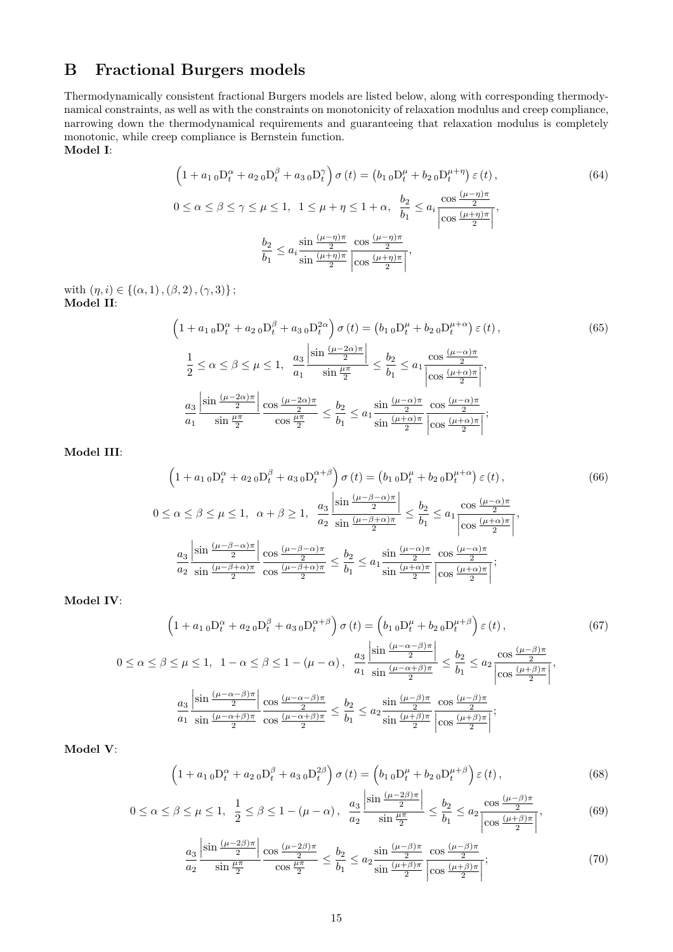## <span id="page-14-0"></span>B Fractional Burgers models

Thermodynamically consistent fractional Burgers models are listed below, along with corresponding thermodynamical constraints, as well as with the constraints on monotonicity of relaxation modulus and creep compliance, narrowing down the thermodynamical requirements and guaranteeing that relaxation modulus is completely monotonic, while creep compliance is Bernstein function. Model I:

> <span id="page-14-1"></span> $(1 + a_{1\,0}D_t^{\alpha} + a_{2\,0}D_t^{\beta} + a_{3\,0}D_t^{\gamma})\,\sigma(t) = (b_{1\,0}D_t^{\mu} + b_{2\,0}D_t^{\mu+\eta})\,\varepsilon(t),$ (64)  $0 \leq \alpha \leq \beta \leq \gamma \leq \mu \leq 1, \ \ 1 \leq \mu + \eta \leq 1 + \alpha, \ \ \frac{b_2}{b_1}$  $rac{b_2}{b_1} \leq a_i \frac{\cos \frac{(\mu - \eta)\pi}{2}}{\left|\cos \frac{(\mu + \eta)\pi}{2}\right|}$  $\frac{\cos \frac{(1-\eta)\pi}{2}}{\cos \frac{(1-\eta)\pi}{2}}$  $\left\lfloor \frac{\ln \eta}{2} \right\rfloor$ ,  $b<sub>2</sub>$  $\frac{b_2}{b_1} \leq a_i$  $\sin \frac{(\mu-\eta)\pi}{2}$  $\sin \frac{(\mu + \eta)\pi}{2}$  $\cos \frac{(\mu - \eta)\pi}{2}$  $\frac{\cos \frac{2}{\sqrt{1-\frac{1}{2}}}$  $\left\lfloor \frac{\ln \eta}{2} \right\rfloor$ ,

with  $(\eta, i) \in \{(\alpha, 1),(\beta, 2),(\gamma, 3)\};$ Model II:

<span id="page-14-2"></span>
$$
\left(1 + a_{1\,0}D_{t}^{\alpha} + a_{2\,0}D_{t}^{\beta} + a_{3\,0}D_{t}^{2\alpha}\right)\sigma\left(t\right) = \left(b_{1\,0}D_{t}^{\mu} + b_{2\,0}D_{t}^{\mu+\alpha}\right)\varepsilon\left(t\right),\tag{65}
$$
\n
$$
\frac{1}{2} \leq \alpha \leq \beta \leq \mu \leq 1, \quad \frac{a_{3}}{a_{1}}\frac{\left|\sin\frac{(\mu-2\alpha)\pi}{2}\right|}{\sin\frac{\mu\pi}{2}} \leq \frac{b_{2}}{b_{1}} \leq a_{1}\frac{\cos\frac{(\mu-\alpha)\pi}{2}}{\left|\cos\frac{(\mu+\alpha)\pi}{2}\right|},\,
$$
\n
$$
\frac{a_{3}}{a_{1}}\frac{\left|\sin\frac{(\mu-2\alpha)\pi}{2}\right|}{\sin\frac{\mu\pi}{2}} \frac{\cos\frac{(\mu-2\alpha)\pi}{2}}{\cos\frac{\mu\pi}{2}} \leq \frac{b_{2}}{b_{1}} \leq a_{1}\frac{\sin\frac{(\mu-\alpha)\pi}{2}}{\sin\frac{(\mu+\alpha)\pi}{2}} \frac{\cos\frac{(\mu-\alpha)\pi}{2}}{\left|\cos\frac{(\mu+\alpha)\pi}{2}\right|};
$$

Model III:

<span id="page-14-3"></span>
$$
\left(1 + a_1 \, {}_{0}D_{t}^{\alpha} + a_2 \, {}_{0}D_{t}^{\beta} + a_3 \, {}_{0}D_{t}^{\alpha+\beta}\right) \sigma\left(t\right) = \left(b_1 \, {}_{0}D_{t}^{\mu} + b_2 \, {}_{0}D_{t}^{\mu+\alpha}\right) \varepsilon\left(t\right),\tag{66}
$$
\n
$$
0 \leq \alpha \leq \beta \leq \mu \leq 1, \quad \alpha + \beta \geq 1, \quad \frac{a_3}{a_2} \frac{\left|\sin\left(\frac{\mu-\beta-\alpha}{2}\right)\pi\right|}{\sin\left(\frac{\mu-\beta+\alpha}{2}\right)} \leq \frac{b_2}{b_1} \leq a_1 \frac{\cos\left(\frac{\mu-\alpha}{2}\right)\pi}{\left|\cos\left(\frac{\mu+\alpha}{2}\right)\pi\right|},\tag{66}
$$
\n
$$
\frac{a_3}{a_2} \frac{\left|\sin\left(\frac{\mu-\beta-\alpha}{2}\right)\pi\right|}{\sin\left(\frac{\mu-\beta+\alpha}{2}\right)} \frac{\cos\left(\frac{\mu-\beta-\alpha}{2}\right)\pi}{\cos\left(\frac{\mu-\beta+\alpha}{2}\right)} \leq \frac{b_2}{b_1} \leq a_1 \frac{\sin\left(\frac{\mu-\alpha}{2}\right)\pi}{\sin\left(\frac{\mu+\alpha}{2}\right)} \frac{\cos\left(\frac{\mu-\alpha}{2}\right)\pi}{\left|\cos\left(\frac{\mu+\alpha}{2}\right)\pi\right|};
$$

Model IV:

$$
\left(1 + a_1 \, {}_0D_t^{\alpha} + a_2 \, {}_0D_t^{\beta} + a_3 \, {}_0D_t^{\alpha+\beta}\right) \sigma\left(t\right) = \left(b_1 \, {}_0D_t^{\mu} + b_2 \, {}_0D_t^{\mu+\beta}\right) \varepsilon\left(t\right),\tag{67}
$$
\n
$$
0 \le \alpha \le \beta \le \mu \le 1, \quad 1 - \alpha \le \beta \le 1 - (\mu - \alpha), \quad \frac{a_3}{a_1} \frac{\left|\sin \frac{(\mu - \alpha - \beta)\pi}{2}\right|}{\sin \frac{(\mu - \alpha + \beta)\pi}{2}} \le \frac{b_2}{b_1} \le a_2 \frac{\cos \frac{(\mu - \beta)\pi}{2}}{\left|\cos \frac{(\mu + \beta)\pi}{2}\right|},\,
$$
\n
$$
\frac{a_3}{a_1} \frac{\left|\sin \frac{(\mu - \alpha - \beta)\pi}{2}\right|}{\sin \frac{(\mu - \alpha + \beta)\pi}{2}} \frac{\cos \frac{(\mu - \alpha - \beta)\pi}{2}}{\cos \frac{(\mu - \alpha + \beta)\pi}{2}} \le \frac{b_2}{b_1} \le a_2 \frac{\sin \frac{(\mu - \beta)\pi}{2}}{\sin \frac{(\mu + \beta)\pi}{2}} \frac{\cos \frac{(\mu - \beta)\pi}{2}}{\left|\cos \frac{(\mu + \beta)\pi}{2}\right|};
$$
\n(67)

Model V:

<span id="page-14-4"></span>
$$
\left(1 + a_{1\,0}D_t^{\alpha} + a_{2\,0}D_t^{\beta} + a_{3\,0}D_t^{2\beta}\right)\sigma\left(t\right) = \left(b_{1\,0}D_t^{\mu} + b_{2\,0}D_t^{\mu+\beta}\right)\varepsilon\left(t\right),\tag{68}
$$

$$
0 \le \alpha \le \beta \le \mu \le 1, \ \ \frac{1}{2} \le \beta \le 1 - (\mu - \alpha), \ \ \frac{a_3}{a_2} \frac{\left| \sin \frac{(\mu - 2\beta)\pi}{2} \right|}{\sin \frac{\mu \pi}{2}} \le \frac{b_2}{b_1} \le a_2 \frac{\cos \frac{(\mu - \beta)\pi}{2}}{\left| \cos \frac{(\mu + \beta)\pi}{2} \right|},\tag{69}
$$

<span id="page-14-5"></span>
$$
\frac{a_3}{a_2} \frac{\left| \sin \frac{(\mu - 2\beta)\pi}{2} \right|}{\sin \frac{\mu \pi}{2}} \frac{\cos \frac{(\mu - 2\beta)\pi}{2}}{\cos \frac{\mu \pi}{2}} \le \frac{b_2}{b_1} \le a_2 \frac{\sin \frac{(\mu - \beta)\pi}{2}}{\sin \frac{(\mu + \beta)\pi}{2}} \frac{\cos \frac{(\mu - \beta)\pi}{2}}{\left| \cos \frac{(\mu + \beta)\pi}{2} \right|};\tag{70}
$$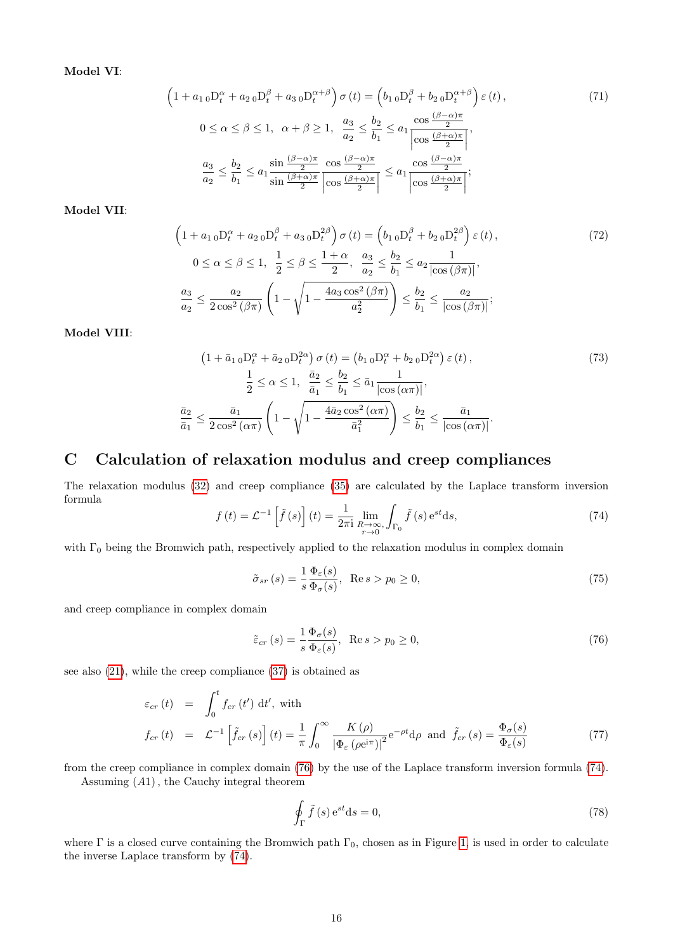Model VI:

<span id="page-15-1"></span>
$$
\left(1 + a_{1\,0}D_{t}^{\alpha} + a_{2\,0}D_{t}^{\beta} + a_{3\,0}D_{t}^{\alpha+\beta}\right)\sigma\left(t\right) = \left(b_{1\,0}D_{t}^{\beta} + b_{2\,0}D_{t}^{\alpha+\beta}\right)\varepsilon\left(t\right),\tag{71}
$$
\n
$$
0 \leq \alpha \leq \beta \leq 1, \quad \alpha + \beta \geq 1, \quad \frac{a_{3}}{a_{2}} \leq \frac{b_{2}}{b_{1}} \leq a_{1} \frac{\cos\left(\beta-\alpha\right)\pi}{\left|\cos\left(\beta+\alpha\right)\pi\right|},\tag{71}
$$
\n
$$
\frac{a_{3}}{a_{2}} \leq \frac{b_{2}}{b_{1}} \leq a_{1} \frac{\sin\left(\beta-\alpha\right)\pi}{\frac{2}{a_{2}}}\frac{\cos\left(\beta-\alpha\right)\pi}{\left|\cos\left(\beta+\alpha\right)\pi\right|} \leq a_{1} \frac{\cos\left(\beta-\alpha\right)\pi}{\left|\cos\left(\beta+\alpha\right)\pi\right|};
$$

Model VII:

<span id="page-15-2"></span>
$$
\left(1 + a_{1\,0}D_{t}^{\alpha} + a_{2\,0}D_{t}^{\beta} + a_{3\,0}D_{t}^{2\beta}\right)\sigma\left(t\right) = \left(b_{1\,0}D_{t}^{\beta} + b_{2\,0}D_{t}^{2\beta}\right)\varepsilon\left(t\right),\tag{72}
$$
\n
$$
0 \leq \alpha \leq \beta \leq 1, \quad \frac{1}{2} \leq \beta \leq \frac{1 + \alpha}{2}, \quad \frac{a_{3}}{a_{2}} \leq \frac{b_{2}}{b_{1}} \leq a_{2}\frac{1}{\left|\cos\left(\beta\pi\right)\right|},\tag{72}
$$
\n
$$
\frac{a_{3}}{a_{2}} \leq \frac{a_{2}}{2\cos^{2}\left(\beta\pi\right)}\left(1 - \sqrt{1 - \frac{4a_{3}\cos^{2}\left(\beta\pi\right)}{a_{2}^{2}}}\right) \leq \frac{b_{2}}{b_{1}} \leq \frac{a_{2}}{\left|\cos\left(\beta\pi\right)\right|};
$$

Model VIII:

$$
\left(1+\bar{a}_{1\ 0}D_{t}^{\alpha}+\bar{a}_{2\ 0}D_{t}^{2\alpha}\right)\sigma\left(t\right)=\left(b_{1\ 0}D_{t}^{\alpha}+b_{2\ 0}D_{t}^{2\alpha}\right)\varepsilon\left(t\right),\qquad(73)
$$
\n
$$
\frac{1}{2}\le\alpha\le1,\quad\frac{\bar{a}_{2}}{\bar{a}_{1}}\le\frac{b_{2}}{b_{1}}\le\bar{a}_{1}\frac{1}{\left|\cos\left(\alpha\pi\right)\right|},\qquad(73)
$$
\n
$$
\frac{\bar{a}_{2}}{\bar{a}_{1}}\le\frac{\bar{a}_{1}}{2\cos^{2}\left(\alpha\pi\right)}\left(1-\sqrt{1-\frac{4\bar{a}_{2}\cos^{2}\left(\alpha\pi\right)}{\bar{a}_{1}^{2}}}\right)\le\frac{b_{2}}{b_{1}}\le\frac{\bar{a}_{1}}{\left|\cos\left(\alpha\pi\right)\right|}.
$$

## <span id="page-15-0"></span>C Calculation of relaxation modulus and creep compliances

The relaxation modulus [\(32\)](#page-5-0) and creep compliance [\(35\)](#page-5-1) are calculated by the Laplace transform inversion formula

<span id="page-15-5"></span>
$$
f(t) = \mathcal{L}^{-1}\left[\tilde{f}(s)\right](t) = \frac{1}{2\pi i} \lim_{\substack{R \to \infty \\ r \to 0}} \int_{\Gamma_0} \tilde{f}(s) e^{st} ds,
$$
\n(74)

with  $\Gamma_0$  being the Bromwich path, respectively applied to the relaxation modulus in complex domain

<span id="page-15-3"></span>
$$
\tilde{\sigma}_{sr}(s) = \frac{1}{s} \frac{\Phi_{\varepsilon}(s)}{\Phi_{\sigma}(s)}, \quad \text{Re}\, s > p_0 \ge 0,\tag{75}
$$

and creep compliance in complex domain

<span id="page-15-4"></span>
$$
\tilde{\varepsilon}_{cr}(s) = \frac{1}{s} \frac{\Phi_{\sigma}(s)}{\Phi_{\varepsilon}(s)}, \quad \text{Re}\, s > p_0 \ge 0,\tag{76}
$$

see also [\(21\)](#page-4-1), while the creep compliance [\(37\)](#page-5-2) is obtained as

<span id="page-15-7"></span>
$$
\varepsilon_{cr}(t) = \int_0^t f_{cr}(t') dt', \text{ with}
$$
\n
$$
f_{cr}(t) = \mathcal{L}^{-1} \left[ \tilde{f}_{cr}(s) \right](t) = \frac{1}{\pi} \int_0^\infty \frac{K(\rho)}{\left| \Phi_\varepsilon \left( \rho e^{i\pi} \right) \right|^2} e^{-\rho t} d\rho \text{ and } \tilde{f}_{cr}(s) = \frac{\Phi_\sigma(s)}{\Phi_\varepsilon(s)} \tag{77}
$$

from the creep compliance in complex domain [\(76\)](#page-15-4) by the use of the Laplace transform inversion formula [\(74\)](#page-15-5). Assuming (A1), the Cauchy integral theorem

<span id="page-15-6"></span>
$$
\oint_{\Gamma} \tilde{f}(s) e^{st} ds = 0,
$$
\n(78)

where  $\Gamma$  is a closed curve containing the Bromwich path  $\Gamma_0$ , chosen as in Figure [1,](#page-16-0) is used in order to calculate the inverse Laplace transform by [\(74\)](#page-15-5).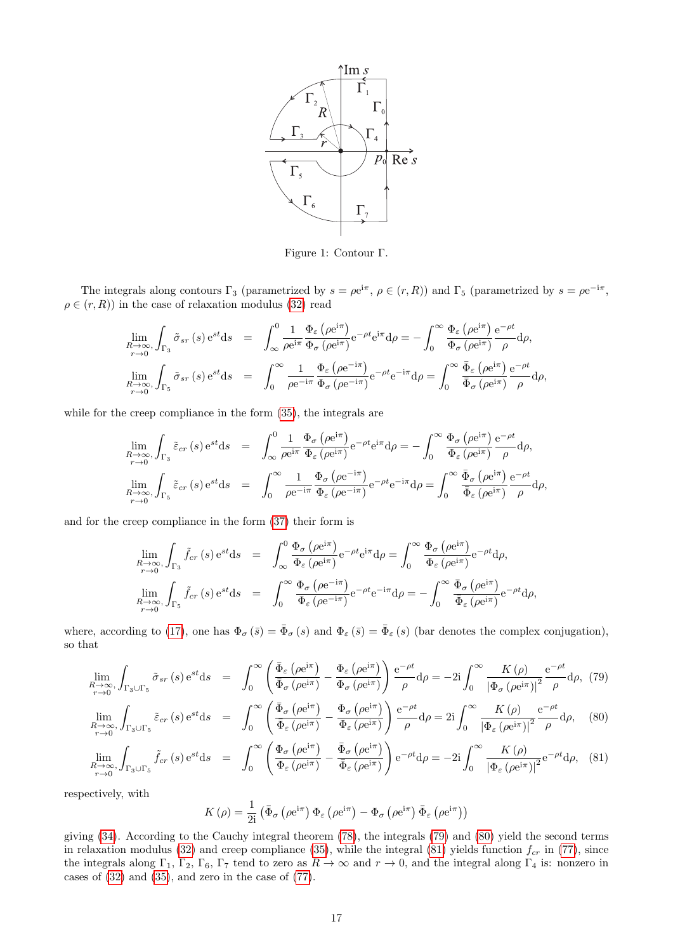<span id="page-16-0"></span>

Figure 1: Contour Γ.

The integrals along contours  $\Gamma_3$  (parametrized by  $s = \rho e^{i\pi}$ ,  $\rho \in (r, R)$ ) and  $\Gamma_5$  (parametrized by  $s = \rho e^{-i\pi}$ ,  $\rho \in (r, R)$  in the case of relaxation modulus [\(32\)](#page-5-0) read

$$
\lim_{\substack{R \to \infty \\ r \to 0}} \int_{\Gamma_3} \tilde{\sigma}_{sr}(s) e^{st} ds = \int_{\infty}^0 \frac{1}{\rho e^{i\pi}} \frac{\Phi_{\varepsilon}(\rho e^{i\pi})}{\Phi_{\sigma}(\rho e^{i\pi})} e^{-\rho t} e^{i\pi} d\rho = -\int_0^{\infty} \frac{\Phi_{\varepsilon}(\rho e^{i\pi})}{\Phi_{\sigma}(\rho e^{i\pi})} \frac{e^{-\rho t}}{\rho} d\rho,
$$
\n
$$
\lim_{\substack{R \to \infty \\ r \to 0}} \int_{\Gamma_5} \tilde{\sigma}_{sr}(s) e^{st} ds = \int_0^{\infty} \frac{1}{\rho e^{-i\pi}} \frac{\Phi_{\varepsilon}(\rho e^{-i\pi})}{\Phi_{\sigma}(\rho e^{-i\pi})} e^{-\rho t} e^{-i\pi} d\rho = \int_0^{\infty} \frac{\bar{\Phi}_{\varepsilon}(\rho e^{i\pi})}{\bar{\Phi}_{\sigma}(\rho e^{i\pi})} \frac{e^{-\rho t}}{\rho} d\rho,
$$

while for the creep compliance in the form [\(35\)](#page-5-1), the integrals are

$$
\lim_{R \to \infty, \int_{\Gamma_3} \tilde{\varepsilon}_{cr}(s) e^{st} ds = \int_{\infty}^{0} \frac{1}{\rho e^{i\pi}} \frac{\Phi_{\sigma}(\rho e^{i\pi})}{\Phi_{\varepsilon}(\rho e^{i\pi})} e^{-\rho t} e^{i\pi} d\rho = -\int_{0}^{\infty} \frac{\Phi_{\sigma}(\rho e^{i\pi})}{\Phi_{\varepsilon}(\rho e^{i\pi})} \frac{e^{-\rho t}}{\rho} d\rho,
$$
\n
$$
\lim_{R \to \infty, \int_{\Gamma_5} \tilde{\varepsilon}_{cr}(s) e^{st} ds = \int_{0}^{\infty} \frac{1}{\rho e^{-i\pi}} \frac{\Phi_{\sigma}(\rho e^{-i\pi})}{\Phi_{\varepsilon}(\rho e^{-i\pi})} e^{-\rho t} e^{-i\pi} d\rho = \int_{0}^{\infty} \frac{\bar{\Phi}_{\sigma}(\rho e^{i\pi})}{\bar{\Phi}_{\varepsilon}(\rho e^{i\pi})} \frac{e^{-\rho t}}{\rho} d\rho,
$$

and for the creep compliance in the form [\(37\)](#page-5-2) their form is

$$
\lim_{R \to \infty, \int_{\Gamma_3} \tilde{f}_{cr}(s) e^{st} ds = \int_{\infty}^0 \frac{\Phi_{\sigma}(\rho e^{i\pi})}{\Phi_{\varepsilon}(\rho e^{i\pi})} e^{-\rho t} e^{i\pi} d\rho = \int_0^{\infty} \frac{\Phi_{\sigma}(\rho e^{i\pi})}{\Phi_{\varepsilon}(\rho e^{i\pi})} e^{-\rho t} d\rho,
$$
\n
$$
\lim_{R \to \infty, \int_{\Gamma_5} \tilde{f}_{cr}(s) e^{st} ds = \int_0^{\infty} \frac{\Phi_{\sigma}(\rho e^{-i\pi})}{\Phi_{\varepsilon}(\rho e^{-i\pi})} e^{-\rho t} e^{-i\pi} d\rho = -\int_0^{\infty} \frac{\bar{\Phi}_{\sigma}(\rho e^{i\pi})}{\bar{\Phi}_{\varepsilon}(\rho e^{i\pi})} e^{-\rho t} d\rho,
$$

where, according to [\(17\)](#page-4-9), one has  $\Phi_{\sigma}(\bar{s}) = \bar{\Phi}_{\sigma}(s)$  and  $\Phi_{\varepsilon}(\bar{s}) = \bar{\Phi}_{\varepsilon}(s)$  (bar denotes the complex conjugation), so that

<span id="page-16-1"></span>
$$
\lim_{R \to \infty, \int_{\Gamma_3 \cup \Gamma_5} \tilde{\sigma}_{sr}(s) e^{st} ds = \int_0^\infty \left( \frac{\bar{\Phi}_{\varepsilon} \left( \rho e^{i\pi} \right)}{\bar{\Phi}_{\sigma} \left( \rho e^{i\pi} \right)} - \frac{\Phi_{\varepsilon} \left( \rho e^{i\pi} \right)}{\Phi_{\sigma} \left( \rho e^{i\pi} \right)} \right) \frac{e^{-\rho t}}{\rho} d\rho = -2i \int_0^\infty \frac{K(\rho)}{\left| \Phi_{\sigma} \left( \rho e^{i\pi} \right) \right|^2} \frac{e^{-\rho t}}{\rho} d\rho, (79)
$$

$$
\lim_{R \to \infty, \int_{\Gamma_3 \cup \Gamma_5} \tilde{\varepsilon}_{cr}(s) e^{st} ds = \int_0^\infty \left( \frac{\bar{\Phi}_\sigma \left( \rho e^{i\pi} \right)}{\bar{\Phi}_\varepsilon \left( \rho e^{i\pi} \right)} - \frac{\Phi_\sigma \left( \rho e^{i\pi} \right)}{\Phi_\varepsilon \left( \rho e^{i\pi} \right)} \right) \frac{e^{-\rho t}}{\rho} d\rho = 2i \int_0^\infty \frac{K(\rho)}{\left| \Phi_\varepsilon \left( \rho e^{i\pi} \right) \right|^2} \frac{e^{-\rho t}}{\rho} d\rho, \quad (80)
$$

$$
\lim_{R \to \infty, \int_{\Gamma_3 \cup \Gamma_5} \tilde{f}_{cr}(s) e^{st} ds = \int_0^\infty \left( \frac{\Phi_\sigma \left( \rho e^{i\pi} \right)}{\Phi_\varepsilon \left( \rho e^{i\pi} \right)} - \frac{\bar{\Phi}_\sigma \left( \rho e^{i\pi} \right)}{\bar{\Phi}_\varepsilon \left( \rho e^{i\pi} \right)} \right) e^{-\rho t} d\rho = -2i \int_0^\infty \frac{K(\rho)}{\left| \Phi_\varepsilon \left( \rho e^{i\pi} \right) \right|^2} e^{-\rho t} d\rho, \quad (81)
$$

respectively, with

$$
K\left(\rho\right) = \frac{1}{2\mathrm{i}}\left(\bar{\Phi}_{\sigma}\left(\rho e^{\mathrm{i}\pi}\right)\Phi_{\varepsilon}\left(\rho e^{\mathrm{i}\pi}\right) - \Phi_{\sigma}\left(\rho e^{\mathrm{i}\pi}\right)\bar{\Phi}_{\varepsilon}\left(\rho e^{\mathrm{i}\pi}\right)\right)
$$

giving [\(34\)](#page-5-0). According to the Cauchy integral theorem [\(78\)](#page-15-6), the integrals [\(79\)](#page-16-1) and [\(80\)](#page-16-1) yield the second terms in relaxation modulus [\(32\)](#page-5-0) and creep compliance [\(35\)](#page-5-1), while the integral [\(81\)](#page-16-1) yields function  $f_{cr}$  in [\(77\)](#page-15-7), since the integrals along Γ<sub>1</sub>, Γ<sub>2</sub>, Γ<sub>6</sub>, Γ<sub>7</sub> tend to zero as  $R \to \infty$  and  $r \to 0$ , and the integral along Γ<sub>4</sub> is: nonzero in cases of [\(32\)](#page-5-0) and [\(35\)](#page-5-1), and zero in the case of [\(77\)](#page-15-7).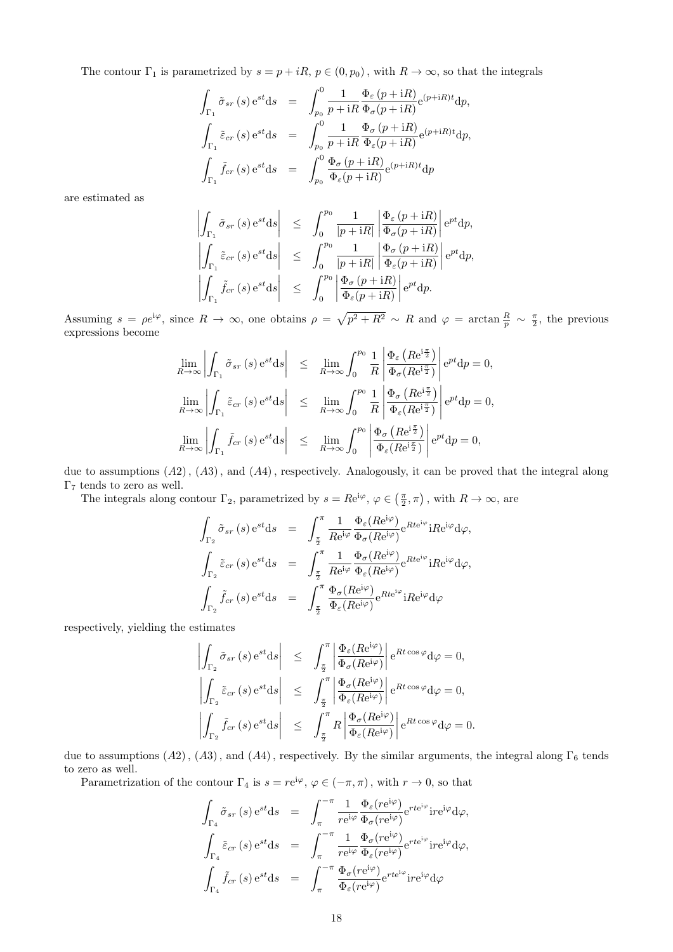The contour  $\Gamma_1$  is parametrized by  $s = p + iR$ ,  $p \in (0, p_0)$ , with  $R \to \infty$ , so that the integrals

$$
\int_{\Gamma_1} \tilde{\sigma}_{sr}(s) e^{st} ds = \int_{p_0}^{0} \frac{1}{p + iR} \frac{\Phi_{\varepsilon}(p + iR)}{\Phi_{\sigma}(p + iR)} e^{(p + iR)t} dp,
$$
\n
$$
\int_{\Gamma_1} \tilde{\varepsilon}_{cr}(s) e^{st} ds = \int_{p_0}^{0} \frac{1}{p + iR} \frac{\Phi_{\sigma}(p + iR)}{\Phi_{\varepsilon}(p + iR)} e^{(p + iR)t} dp,
$$
\n
$$
\int_{\Gamma_1} \tilde{f}_{cr}(s) e^{st} ds = \int_{p_0}^{0} \frac{\Phi_{\sigma}(p + iR)}{\Phi_{\varepsilon}(p + iR)} e^{(p + iR)t} dp
$$

are estimated as

$$
\left| \int_{\Gamma_1} \tilde{\sigma}_{sr}(s) e^{st} ds \right| \leq \int_0^{p_0} \frac{1}{|p + iR|} \left| \frac{\Phi_{\varepsilon}(p + iR)}{\Phi_{\sigma}(p + iR)} \right| e^{pt} dp,
$$
  

$$
\left| \int_{\Gamma_1} \tilde{\varepsilon}_{cr}(s) e^{st} ds \right| \leq \int_0^{p_0} \frac{1}{|p + iR|} \left| \frac{\Phi_{\sigma}(p + iR)}{\Phi_{\varepsilon}(p + iR)} \right| e^{pt} dp,
$$
  

$$
\left| \int_{\Gamma_1} \tilde{f}_{cr}(s) e^{st} ds \right| \leq \int_0^{p_0} \left| \frac{\Phi_{\sigma}(p + iR)}{\Phi_{\varepsilon}(p + iR)} \right| e^{pt} dp.
$$

Assuming  $s = \rho e^{i\varphi}$ , since  $R \to \infty$ , one obtains  $\rho = \sqrt{p^2 + R^2} \sim R$  and  $\varphi = \arctan \frac{R}{p} \sim \frac{\pi}{2}$ , the previous expressions become

$$
\lim_{R \to \infty} \left| \int_{\Gamma_1} \tilde{\sigma}_{sr} (s) e^{st} ds \right| \leq \lim_{R \to \infty} \int_0^{p_0} \frac{1}{R} \left| \frac{\Phi_{\varepsilon} (Re^{i\frac{\pi}{2}})}{\Phi_{\sigma} (Re^{i\frac{\pi}{2}})} \right| e^{pt} dp = 0,
$$
  

$$
\lim_{R \to \infty} \left| \int_{\Gamma_1} \tilde{\varepsilon}_{cr} (s) e^{st} ds \right| \leq \lim_{R \to \infty} \int_0^{p_0} \frac{1}{R} \left| \frac{\Phi_{\sigma} (Re^{i\frac{\pi}{2}})}{\Phi_{\varepsilon} (Re^{i\frac{\pi}{2}})} \right| e^{pt} dp = 0,
$$
  

$$
\lim_{R \to \infty} \left| \int_{\Gamma_1} \tilde{f}_{cr} (s) e^{st} ds \right| \leq \lim_{R \to \infty} \int_0^{p_0} \left| \frac{\Phi_{\sigma} (Re^{i\frac{\pi}{2}})}{\Phi_{\varepsilon} (Re^{i\frac{\pi}{2}})} \right| e^{pt} dp = 0,
$$

due to assumptions  $(A2)$ ,  $(A3)$ , and  $(A4)$ , respectively. Analogously, it can be proved that the integral along  $\Gamma_7$  tends to zero as well.

The integrals along contour  $\Gamma_2$ , parametrized by  $s = Re^{i\varphi}$ ,  $\varphi \in (\frac{\pi}{2}, \pi)$ , with  $R \to \infty$ , are

$$
\int_{\Gamma_2} \tilde{\sigma}_{sr} (s) e^{st} ds = \int_{\frac{\pi}{2}}^{\pi} \frac{1}{Re^{i\varphi}} \frac{\Phi_{\varepsilon}(Re^{i\varphi})}{\Phi_{\sigma}(Re^{i\varphi})} e^{Rte^{i\varphi}} iRe^{i\varphi} d\varphi,
$$
\n
$$
\int_{\Gamma_2} \tilde{\varepsilon}_{cr} (s) e^{st} ds = \int_{\frac{\pi}{2}}^{\pi} \frac{1}{Re^{i\varphi}} \frac{\Phi_{\sigma}(Re^{i\varphi})}{\Phi_{\varepsilon}(Re^{i\varphi})} e^{Rte^{i\varphi}} iRe^{i\varphi} d\varphi,
$$
\n
$$
\int_{\Gamma_2} \tilde{f}_{cr} (s) e^{st} ds = \int_{\frac{\pi}{2}}^{\pi} \frac{\Phi_{\sigma}(Re^{i\varphi})}{\Phi_{\varepsilon}(Re^{i\varphi})} e^{Rte^{i\varphi}} iRe^{i\varphi} d\varphi
$$

respectively, yielding the estimates

$$
\left| \int_{\Gamma_2} \tilde{\sigma}_{sr} (s) e^{st} ds \right| \leq \int_{\frac{\pi}{2}}^{\pi} \left| \frac{\Phi_{\varepsilon}(Re^{i\varphi})}{\Phi_{\sigma}(Re^{i\varphi})} \right| e^{Rt \cos \varphi} d\varphi = 0,
$$
  

$$
\left| \int_{\Gamma_2} \tilde{\varepsilon}_{cr} (s) e^{st} ds \right| \leq \int_{\frac{\pi}{2}}^{\pi} \left| \frac{\Phi_{\sigma}(Re^{i\varphi})}{\Phi_{\varepsilon}(Re^{i\varphi})} \right| e^{Rt \cos \varphi} d\varphi = 0,
$$
  

$$
\left| \int_{\Gamma_2} \tilde{f}_{cr} (s) e^{st} ds \right| \leq \int_{\frac{\pi}{2}}^{\pi} R \left| \frac{\Phi_{\sigma}(Re^{i\varphi})}{\Phi_{\varepsilon}(Re^{i\varphi})} \right| e^{Rt \cos \varphi} d\varphi = 0.
$$

due to assumptions  $(A2)$ ,  $(A3)$ , and  $(A4)$ , respectively. By the similar arguments, the integral along  $\Gamma_6$  tends to zero as well.

Parametrization of the contour  $\Gamma_4$  is  $s = re^{i\varphi}, \varphi \in (-\pi, \pi)$ , with  $r \to 0$ , so that

$$
\int_{\Gamma_4} \tilde{\sigma}_{sr} (s) e^{st} ds = \int_{\pi}^{-\pi} \frac{1}{r e^{i\varphi}} \frac{\Phi_{\varepsilon} (re^{i\varphi})}{\Phi_{\sigma} (re^{i\varphi})} e^{r t e^{i\varphi}} i r e^{i\varphi} d\varphi,
$$
\n
$$
\int_{\Gamma_4} \tilde{\varepsilon}_{cr} (s) e^{st} ds = \int_{\pi}^{-\pi} \frac{1}{r e^{i\varphi}} \frac{\Phi_{\sigma} (re^{i\varphi})}{\Phi_{\varepsilon} (re^{i\varphi})} e^{r t e^{i\varphi}} i r e^{i\varphi} d\varphi,
$$
\n
$$
\int_{\Gamma_4} \tilde{f}_{cr} (s) e^{st} ds = \int_{\pi}^{-\pi} \frac{\Phi_{\sigma} (re^{i\varphi})}{\Phi_{\varepsilon} (re^{i\varphi})} e^{r t e^{i\varphi}} i r e^{i\varphi} d\varphi
$$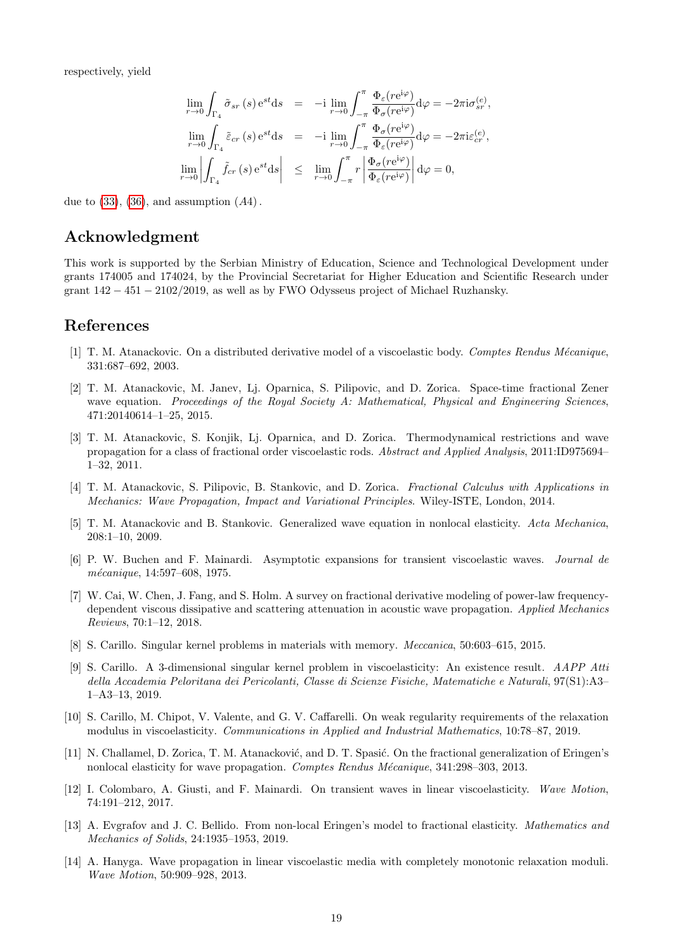respectively, yield

$$
\lim_{r \to 0} \int_{\Gamma_4} \tilde{\sigma}_{sr}(s) e^{st} ds = -i \lim_{r \to 0} \int_{-\pi}^{\pi} \frac{\Phi_{\varepsilon}(re^{i\varphi})}{\Phi_{\sigma}(re^{i\varphi})} d\varphi = -2\pi i \sigma_{sr}^{(e)},
$$
  
\n
$$
\lim_{r \to 0} \int_{\Gamma_4} \tilde{\varepsilon}_{cr}(s) e^{st} ds = -i \lim_{r \to 0} \int_{-\pi}^{\pi} \frac{\Phi_{\sigma}(re^{i\varphi})}{\Phi_{\varepsilon}(re^{i\varphi})} d\varphi = -2\pi i \varepsilon_{cr}^{(e)},
$$
  
\n
$$
\lim_{r \to 0} \left| \int_{\Gamma_4} \tilde{f}_{cr}(s) e^{st} ds \right| \le \lim_{r \to 0} \int_{-\pi}^{\pi} r \left| \frac{\Phi_{\sigma}(re^{i\varphi})}{\Phi_{\varepsilon}(re^{i\varphi})} \right| d\varphi = 0,
$$

due to  $(33)$ ,  $(36)$ , and assumption  $(A4)$ .

## Acknowledgment

This work is supported by the Serbian Ministry of Education, Science and Technological Development under grants 174005 and 174024, by the Provincial Secretariat for Higher Education and Scientific Research under grant 142 − 451 − 2102/2019, as well as by FWO Odysseus project of Michael Ruzhansky.

### References

- <span id="page-18-1"></span>[1] T. M. Atanackovic. On a distributed derivative model of a viscoelastic body. Comptes Rendus Mécanique, 331:687–692, 2003.
- <span id="page-18-3"></span>[2] T. M. Atanackovic, M. Janev, Lj. Oparnica, S. Pilipovic, and D. Zorica. Space-time fractional Zener wave equation. Proceedings of the Royal Society A: Mathematical, Physical and Engineering Sciences, 471:20140614–1–25, 2015.
- <span id="page-18-0"></span>[3] T. M. Atanackovic, S. Konjik, Lj. Oparnica, and D. Zorica. Thermodynamical restrictions and wave propagation for a class of fractional order viscoelastic rods. Abstract and Applied Analysis, 2011:ID975694– 1–32, 2011.
- <span id="page-18-9"></span>[4] T. M. Atanackovic, S. Pilipovic, B. Stankovic, and D. Zorica. Fractional Calculus with Applications in Mechanics: Wave Propagation, Impact and Variational Principles. Wiley-ISTE, London, 2014.
- <span id="page-18-2"></span>[5] T. M. Atanackovic and B. Stankovic. Generalized wave equation in nonlocal elasticity. Acta Mechanica, 208:1–10, 2009.
- <span id="page-18-10"></span>[6] P. W. Buchen and F. Mainardi. Asymptotic expansions for transient viscoelastic waves. Journal de mécanique, 14:597-608, 1975.
- <span id="page-18-12"></span>[7] W. Cai, W. Chen, J. Fang, and S. Holm. A survey on fractional derivative modeling of power-law frequencydependent viscous dissipative and scattering attenuation in acoustic wave propagation. Applied Mechanics Reviews, 70:1–12, 2018.
- <span id="page-18-7"></span>[8] S. Carillo. Singular kernel problems in materials with memory. Meccanica, 50:603–615, 2015.
- <span id="page-18-5"></span>[9] S. Carillo. A 3-dimensional singular kernel problem in viscoelasticity: An existence result. AAPP Atti della Accademia Peloritana dei Pericolanti, Classe di Scienze Fisiche, Matematiche e Naturali, 97(S1):A3– 1–A3–13, 2019.
- <span id="page-18-6"></span>[10] S. Carillo, M. Chipot, V. Valente, and G. V. Caffarelli. On weak regularity requirements of the relaxation modulus in viscoelasticity. Communications in Applied and Industrial Mathematics, 10:78–87, 2019.
- <span id="page-18-4"></span>[11] N. Challamel, D. Zorica, T. M. Atanacković, and D. T. Spasić. On the fractional generalization of Eringen's nonlocal elasticity for wave propagation. Comptes Rendus Mécanique, 341:298–303, 2013.
- <span id="page-18-11"></span>[12] I. Colombaro, A. Giusti, and F. Mainardi. On transient waves in linear viscoelasticity. Wave Motion, 74:191–212, 2017.
- <span id="page-18-13"></span>[13] A. Evgrafov and J. C. Bellido. From non-local Eringen's model to fractional elasticity. Mathematics and Mechanics of Solids, 24:1935–1953, 2019.
- <span id="page-18-8"></span>[14] A. Hanyga. Wave propagation in linear viscoelastic media with completely monotonic relaxation moduli. Wave Motion, 50:909–928, 2013.